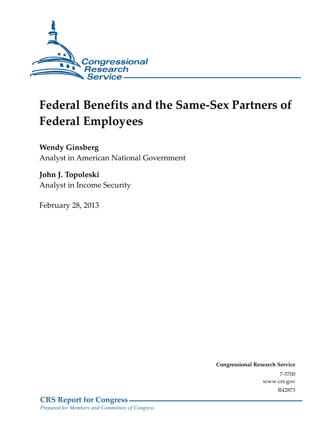

# **Federal Benefits and the Same-Sex Partners of Federal Employees**

**Wendy Ginsberg**  Analyst in American National Government

**John J. Topoleski**  Analyst in Income Security

February 28, 2013

**Congressional Research Service**  7-5700 www.crs.gov R42873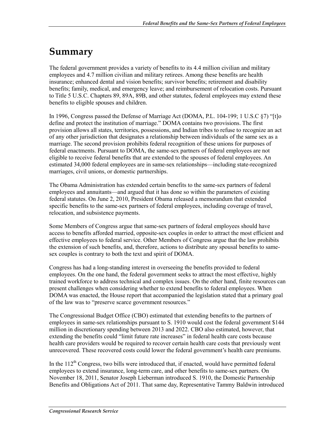# **Summary**

The federal government provides a variety of benefits to its 4.4 million civilian and military employees and 4.7 million civilian and military retirees. Among these benefits are health insurance; enhanced dental and vision benefits; survivor benefits; retirement and disability benefits; family, medical, and emergency leave; and reimbursement of relocation costs. Pursuant to Title 5 U.S.C. Chapters 89, 89A, 89B, and other statutes, federal employees may extend these benefits to eligible spouses and children.

In 1996, Congress passed the Defense of Marriage Act (DOMA, P.L. 104-199; 1 U.S.C §7) "[t]o define and protect the institution of marriage." DOMA contains two provisions. The first provision allows all states, territories, possessions, and Indian tribes to refuse to recognize an act of any other jurisdiction that designates a relationship between individuals of the same sex as a marriage. The second provision prohibits federal recognition of these unions for purposes of federal enactments. Pursuant to DOMA, the same-sex partners of federal employees are not eligible to receive federal benefits that are extended to the spouses of federal employees. An estimated 34,000 federal employees are in same-sex relationships—including state-recognized marriages, civil unions, or domestic partnerships.

The Obama Administration has extended certain benefits to the same-sex partners of federal employees and annuitants—and argued that it has done so within the parameters of existing federal statutes. On June 2, 2010, President Obama released a memorandum that extended specific benefits to the same-sex partners of federal employees, including coverage of travel, relocation, and subsistence payments.

Some Members of Congress argue that same-sex partners of federal employees should have access to benefits afforded married, opposite-sex couples in order to attract the most efficient and effective employees to federal service. Other Members of Congress argue that the law prohibits the extension of such benefits, and, therefore, actions to distribute any spousal benefits to samesex couples is contrary to both the text and spirit of DOMA.

Congress has had a long-standing interest in overseeing the benefits provided to federal employees. On the one hand, the federal government seeks to attract the most effective, highly trained workforce to address technical and complex issues. On the other hand, finite resources can present challenges when considering whether to extend benefits to federal employees. When DOMA was enacted, the House report that accompanied the legislation stated that a primary goal of the law was to "preserve scarce government resources."

The Congressional Budget Office (CBO) estimated that extending benefits to the partners of employees in same-sex relationships pursuant to S. 1910 would cost the federal government \$144 million in discretionary spending between 2013 and 2022. CBO also estimated, however, that extending the benefits could "limit future rate increases" in federal health care costs because health care providers would be required to recover certain health care costs that previously went unrecovered. These recovered costs could lower the federal government's health care premiums.

In the  $112<sup>th</sup>$  Congress, two bills were introduced that, if enacted, would have permitted federal employees to extend insurance, long-term care, and other benefits to same-sex partners. On November 18, 2011, Senator Joseph Lieberman introduced S. 1910, the Domestic Partnership Benefits and Obligations Act of 2011. That same day, Representative Tammy Baldwin introduced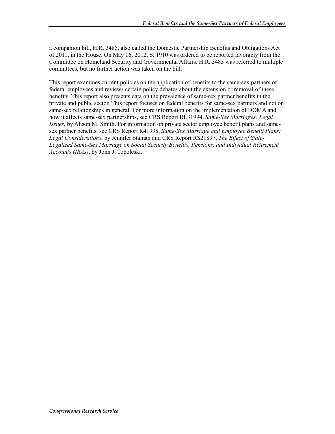a companion bill, H.R. 3485, also called the Domestic Partnership Benefits and Obligations Act of 2011, in the House. On May 16, 2012, S. 1910 was ordered to be reported favorably from the Committee on Homeland Security and Governmental Affairs. H.R. 3485 was referred to multiple committees, but no further action was taken on the bill.

This report examines current policies on the application of benefits to the same-sex partners of federal employees and reviews certain policy debates about the extension or removal of these benefits. This report also presents data on the prevalence of same-sex partner benefits in the private and public sector. This report focuses on federal benefits for same-sex partners and not on same-sex relationships in general. For more information on the implementation of DOMA and how it affects same-sex partnerships, see CRS Report RL31994, *Same-Sex Marriages: Legal Issues*, by Alison M. Smith. For information on private sector employee benefit plans and samesex partner benefits, see CRS Report R41998, *Same-Sex Marriage and Employee Benefit Plans: Legal Considerations*, by Jennifer Staman and CRS Report RS21897, *The Effect of State-Legalized Same-Sex Marriage on Social Security Benefits, Pensions, and Individual Retirement Accounts (IRAs)*, by John J. Topoleski.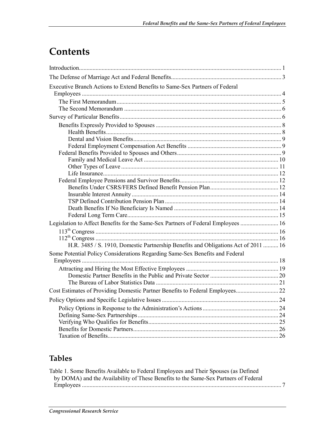# **Contents**

| Executive Branch Actions to Extend Benefits to Same-Sex Partners of Federal        |  |
|------------------------------------------------------------------------------------|--|
|                                                                                    |  |
|                                                                                    |  |
|                                                                                    |  |
|                                                                                    |  |
|                                                                                    |  |
|                                                                                    |  |
|                                                                                    |  |
|                                                                                    |  |
|                                                                                    |  |
|                                                                                    |  |
|                                                                                    |  |
|                                                                                    |  |
|                                                                                    |  |
|                                                                                    |  |
|                                                                                    |  |
|                                                                                    |  |
|                                                                                    |  |
|                                                                                    |  |
| Legislation to Affect Benefits for the Same-Sex Partners of Federal Employees  16  |  |
|                                                                                    |  |
|                                                                                    |  |
| H.R. 3485 / S. 1910, Domestic Partnership Benefits and Obligations Act of 2011  16 |  |
| Some Potential Policy Considerations Regarding Same-Sex Benefits and Federal       |  |
|                                                                                    |  |
|                                                                                    |  |
|                                                                                    |  |
|                                                                                    |  |
|                                                                                    |  |
|                                                                                    |  |
|                                                                                    |  |
|                                                                                    |  |
|                                                                                    |  |
|                                                                                    |  |
|                                                                                    |  |

### **Tables**

| Table 1. Some Benefits Available to Federal Employees and Their Spouses (as Defined |  |
|-------------------------------------------------------------------------------------|--|
| by DOMA) and the Availability of These Benefits to the Same-Sex Partners of Federal |  |
|                                                                                     |  |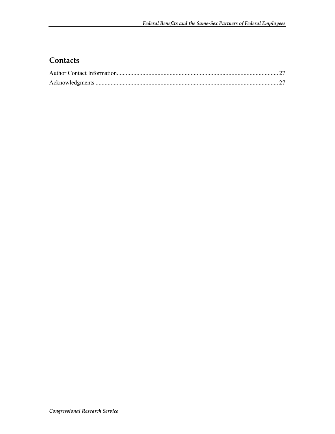### **Contacts**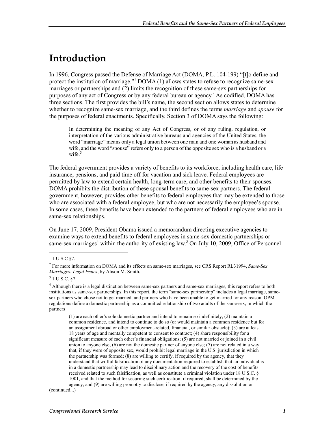# **Introduction**

In 1996, Congress passed the Defense of Marriage Act (DOMA, P.L. 104-199) "[t]o define and protect the institution of marriage."<sup>1</sup> DOMA (1) allows states to refuse to recognize same-sex marriages or partnerships and (2) limits the recognition of these same-sex partnerships for purposes of any act of Congress or by any federal bureau or agency.<sup>2</sup> As codified, DOMA has three sections. The first provides the bill's name, the second section allows states to determine whether to recognize same-sex marriage, and the third defines the terms *marriage* and *spouse* for the purposes of federal enactments. Specifically, Section 3 of DOMA says the following:

In determining the meaning of any Act of Congress, or of any ruling, regulation, or interpretation of the various administrative bureaus and agencies of the United States, the word "marriage" means only a legal union between one man and one woman as husband and wife, and the word "spouse" refers only to a person of the opposite sex who is a husband or a wife.<sup>3</sup>

The federal government provides a variety of benefits to its workforce, including health care, life insurance, pensions, and paid time off for vacation and sick leave. Federal employees are permitted by law to extend certain health, long-term care, and other benefits to their spouses. DOMA prohibits the distribution of these spousal benefits to same-sex partners. The federal government, however, provides other benefits to federal employees that may be extended to those who are associated with a federal employee, but who are not necessarily the employee's spouse. In some cases, these benefits have been extended to the partners of federal employees who are in same-sex relationships.

On June 17, 2009, President Obama issued a memorandum directing executive agencies to examine ways to extend benefits to federal employees in same-sex domestic partnerships or same-sex marriages<sup>4</sup> within the authority of existing law.<sup>5</sup> On July 10, 2009, Office of Personnel

1

(1) are each other's sole domestic partner and intend to remain so indefinitely; (2) maintain a common residence, and intend to continue to do so (or would maintain a common residence but for an assignment abroad or other employment-related, financial, or similar obstacle); (3) are at least 18 years of age and mentally competent to consent to contract; (4) share responsibility for a significant measure of each other's financial obligations; (5) are not married or joined in a civil union to anyone else;  $(6)$  are not the domestic partner of anyone else;  $(7)$  are not related in a way that, if they were of opposite sex, would prohibit legal marriage in the U.S. jurisdiction in which the partnership was formed; (8) are willing to certify, if required by the agency, that they understand that willful falsification of any documentation required to establish that an individual is in a domestic partnership may lead to disciplinary action and the recovery of the cost of benefits received related to such falsification, as well as constitute a criminal violation under 18 U.S.C. § 1001, and that the method for securing such certification, if required, shall be determined by the agency; and (9) are willing promptly to disclose, if required by the agency, any dissolution or

(continued...)

 $1 \text{ U.S.C }$ §7.

<sup>2</sup> For more information on DOMA and its effects on same-sex marriages, see CRS Report RL31994, *Same-Sex Marriages: Legal Issues*, by Alison M. Smith.

 $3$  1 U.S.C. §7.

<sup>4</sup> Although there is a legal distinction between same-sex partners and same-sex marriages, this report refers to both institutions as same-sex partnerships. In this report, the term "same-sex partnership" includes a legal marriage, samesex partners who chose not to get married, and partners who have been unable to get married for any reason. OPM regulations define a domestic partnership as a committed relationship of two adults of the same-sex, in which the partners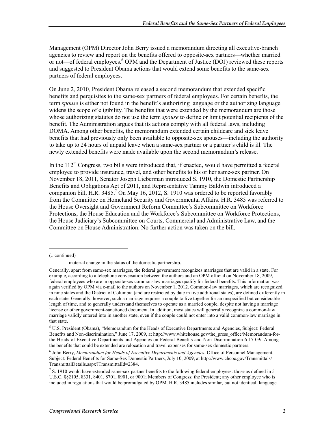Management (OPM) Director John Berry issued a memorandum directing all executive-branch agencies to review and report on the benefits offered to opposite-sex partners—whether married or not—of federal employees.<sup>6</sup> OPM and the Department of Justice (DOJ) reviewed these reports and suggested to President Obama actions that would extend some benefits to the same-sex partners of federal employees.

On June 2, 2010, President Obama released a second memorandum that extended specific benefits and perquisites to the same-sex partners of federal employees. For certain benefits, the term *spouse* is either not found in the benefit's authorizing language or the authorizing language widens the scope of eligibility. The benefits that were extended by the memorandum are those whose authorizing statutes do not use the term *spouse* to define or limit potential recipients of the benefit. The Administration argues that its actions comply with all federal laws, including DOMA. Among other benefits, the memorandum extended certain childcare and sick leave benefits that had previously only been available to opposite-sex spouses—including the authority to take up to 24 hours of unpaid leave when a same-sex partner or a partner's child is ill. The newly extended benefits were made available upon the second memorandum's release.

In the 112<sup>th</sup> Congress, two bills were introduced that, if enacted, would have permitted a federal employee to provide insurance, travel, and other benefits to his or her same-sex partner. On November 18, 2011, Senator Joseph Lieberman introduced S. 1910, the Domestic Partnership Benefits and Obligations Act of 2011, and Representative Tammy Baldwin introduced a companion bill, H.R. 3485.<sup>7</sup> On May 16, 2012, S. 1910 was ordered to be reported favorably from the Committee on Homeland Security and Governmental Affairs. H.R. 3485 was referred to the House Oversight and Government Reform Committee's Subcommittee on Workforce Protections, the House Education and the Workforce's Subcommittee on Workforce Protections, the House Judiciary's Subcommittee on Courts, Commercial and Administrative Law, and the Committee on House Administration. No further action was taken on the bill.

(...continued)

material change in the status of the domestic partnership.

Generally, apart from same-sex marriages, the federal government recognizes marriages that are valid in a state. For example, according to a telephone conversation between the authors and an OPM official on November 18, 2009, federal employees who are in opposite-sex common-law marriages qualify for federal benefits. This information was again verified by OPM via e-mail to the authors on November 1, 2012. Common-law marriages, which are recognized in nine states and the District of Columbia (and are restricted by date in five additional states), are defined differently in each state. Generally, however, such a marriage requires a couple to live together for an unspecified but considerable length of time, and to generally understand themselves to operate as a married couple, despite not having a marriage license or other government-sanctioned document. In addition, most states will generally recognize a common-law marriage validly entered into in another state, even if the couple could not enter into a valid common-law marriage in that state.

<sup>&</sup>lt;sup>5</sup> U.S. President (Obama), "Memorandum for the Heads of Executive Departments and Agencies, Subject: Federal Benefits and Non-discrimination," June 17, 2009, at http://www.whitehouse.gov/the\_press\_office/Memorandum-forthe-Heads-of-Executive-Departments-and-Agencies-on-Federal-Benefits-and-Non-Discrimination-6-17-09/. Among the benefits that could be extended are relocation and travel expenses for same-sex domestic partners.

<sup>6</sup> John Berry, *Memorandum for Heads of Executive Departments and Agencies*, Office of Personnel Management, Subject: Federal Benefits for Same-Sex Domestic Partners, July 10, 2009, at http://www.chcoc.gov/Transmittals/ TransmittalDetails.aspx?TransmittalId=2384.

 $7 S. 1910$  would have extended same-sex partner benefits to the following federal employees: those as defined in 5 U.S.C. §§2105, 8331, 8401, 8701, 8901, or 9001; Members of Congress; the President; any other employee who is included in regulations that would be promulgated by OPM. H.R. 3485 includes similar, but not identical, language.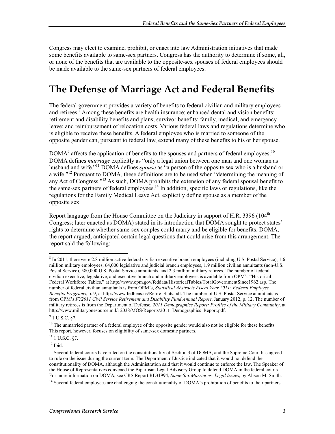Congress may elect to examine, prohibit, or enact into law Administration initiatives that made some benefits available to same-sex partners. Congress has the authority to determine if some, all, or none of the benefits that are available to the opposite-sex spouses of federal employees should be made available to the same-sex partners of federal employees.

# **The Defense of Marriage Act and Federal Benefits**

The federal government provides a variety of benefits to federal civilian and military employees and retirees.<sup>8</sup> Among these benefits are health insurance; enhanced dental and vision benefits; retirement and disability benefits and plans; survivor benefits; family, medical, and emergency leave; and reimbursement of relocation costs. Various federal laws and regulations determine who is eligible to receive these benefits. A federal employee who is married to someone of the opposite gender can, pursuant to federal law, extend many of these benefits to his or her spouse.

 $DOMA<sup>9</sup>$  affects the application of benefits to the spouses and partners of federal employees.<sup>10</sup> DOMA defines *marriage* explicitly as "only a legal union between one man and one woman as husband and wife."11 DOMA defines *spouse* as "a person of the opposite sex who is a husband or a wife."<sup>12</sup> Pursuant to DOMA, these definitions are to be used when "determining the meaning of any Act of Congress."13 As such, DOMA prohibits the extension of any federal spousal benefit to the same-sex partners of federal employees.<sup>14</sup> In addition, specific laws or regulations, like the regulations for the Family Medical Leave Act, explicitly define spouse as a member of the opposite sex.

Report language from the House Committee on the Judiciary in support of H.R. 3396 ( $104<sup>th</sup>$ ) Congress; later enacted as DOMA) stated in its introduction that DOMA sought to protect states' rights to determine whether same-sex couples could marry and be eligible for benefits. DOMA, the report argued, anticipated certain legal questions that could arise from this arrangement. The report said the following:

<u>.</u>

<sup>&</sup>lt;sup>8</sup> In 2011, there were 2.8 million active federal civilian executive branch employees (including U.S. Postal Service), 1.6 million military employees, 64,000 legislative and judicial branch employees, 1.9 million civilian annuitants (non-U.S. Postal Service), 580,000 U.S. Postal Service annuitants, and 2.3 million military retirees. The number of federal civilian executive, legislative, and executive branch and military employees is available from OPM's "Historical Federal Workforce Tables," at http://www.opm.gov/feddata/HistoricalTables/TotalGovernmentSince1962.asp. The number of federal civilian annuitants is from OPM's, *Statistical Abstracts Fiscal Year 2011: Federal Employee Benefits Programs*, p. 9, at http://www.fedbens.us/Retire\_Stats.pdf. The number of U.S. Postal Service annuitants is from OPM's *FY2011 Civil Service Retirement and Disability Fund Annual Report*, January 2012, p. 12. The number of military retirees is from the Department of Defense, *2011 Demographics Report: Profiles of the Military Community*, at http://www.militaryonesource.mil/12038/MOS/Reports/2011\_Demographics\_Report.pdf.

 $9$  1 U.S.C. §7.

 $10$  The unmarried partner of a federal employee of the opposite gender would also not be eligible for these benefits. This report, however, focuses on eligibility of same-sex domestic partners.

 $11$  U.S.C. §7.

 $12$  Ibid.

<sup>&</sup>lt;sup>13</sup> Several federal courts have ruled on the constitutionality of Section 3 of DOMA, and the Supreme Court has agreed to rule on the issue during the current term. The Department of Justice indicated that it would not defend the constitutionality of DOMA, although the Administration said that it would continue to enforce the law. The Speaker of the House of Representatives convened the Bipartisan Legal Advisory Group to defend DOMA in the federal courts. For more information on DOMA, see CRS Report RL31994, *Same-Sex Marriages: Legal Issues*, by Alison M. Smith.

 $<sup>14</sup>$  Several federal employees are challenging the constitutionality of DOMA's prohibition of benefits to their partners.</sup>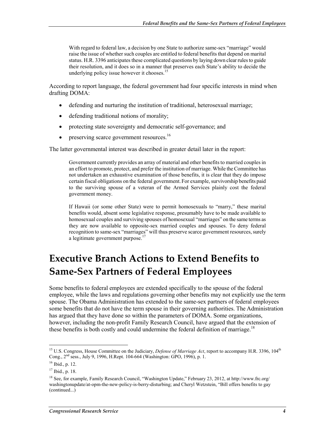With regard to federal law, a decision by one State to authorize same-sex "marriage" would raise the issue of whether such couples are entitled to federal benefits that depend on marital status. H.R. 3396 anticipates these complicated questions by laying down clear rules to guide their resolution, and it does so in a manner that preserves each State's ability to decide the underlying policy issue however it chooses. $15$ 

According to report language, the federal government had four specific interests in mind when drafting DOMA:

- defending and nurturing the institution of traditional, heterosexual marriage;
- defending traditional notions of morality;
- protecting state sovereignty and democratic self-governance; and
- $\bullet$  preserving scarce government resources.<sup>16</sup>

The latter governmental interest was described in greater detail later in the report:

Government currently provides an array of material and other benefits to married couples in an effort to promote, protect, and prefer the institution of marriage. While the Committee has not undertaken an exhaustive examination of those benefits, it is clear that they do impose certain fiscal obligations on the federal government.For example, survivorship benefits paid to the surviving spouse of a veteran of the Armed Services plainly cost the federal government money.

If Hawaii (or some other State) were to permit homosexuals to "marry," these marital benefits would, absent some legislative response, presumably have to be made available to homosexual couples and surviving spouses of homosexual "marriages" on the same terms as they are now available to opposite-sex married couples and spouses. To deny federal recognition to same-sex "marriages" will thus preserve scarce government resources, surely a legitimate government purpose.<sup>17</sup>

# **Executive Branch Actions to Extend Benefits to Same-Sex Partners of Federal Employees**

Some benefits to federal employees are extended specifically to the spouse of the federal employee, while the laws and regulations governing other benefits may not explicitly use the term spouse. The Obama Administration has extended to the same-sex partners of federal employees some benefits that do not have the term spouse in their governing authorities. The Administration has argued that they have done so within the parameters of DOMA. Some organizations, however, including the non-profit Family Research Council, have argued that the extension of these benefits is both costly and could undermine the federal definition of marriage.<sup>18</sup>

<sup>&</sup>lt;sup>15</sup> U.S. Congress, House Committee on the Judiciary, *Defense of Marriage Act*, report to accompany H.R. 3396, 104<sup>th</sup> Cong., 2nd sess., July 9, 1996, H.Rept. 104-664 (Washington: GPO, 1996), p. 1.

<sup>16</sup> Ibid., p. 12.

<sup>17</sup> Ibid., p. 18.

<sup>&</sup>lt;sup>18</sup> See, for example, Family Research Council, "Washington Update," February 23, 2012, at http://www.frc.org/ washingtonupdate/at-opm-the-new-policy-is-berry-disturbing; and Cheryl Wetzstein, "Bill offers benefits to gay (continued...)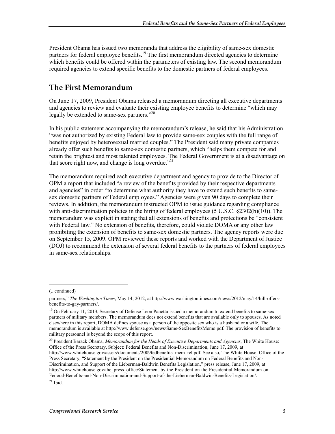President Obama has issued two memoranda that address the eligibility of same-sex domestic partners for federal employee benefits.<sup>19</sup> The first memorandum directed agencies to determine which benefits could be offered within the parameters of existing law. The second memorandum required agencies to extend specific benefits to the domestic partners of federal employees.

### **The First Memorandum**

On June 17, 2009, President Obama released a memorandum directing all executive departments and agencies to review and evaluate their existing employee benefits to determine "which may legally be extended to same-sex partners."<sup>20</sup>

In his public statement accompanying the memorandum's release, he said that his Administration "was not authorized by existing Federal law to provide same-sex couples with the full range of benefits enjoyed by heterosexual married couples." The President said many private companies already offer such benefits to same-sex domestic partners, which "helps them compete for and retain the brightest and most talented employees. The Federal Government is at a disadvantage on that score right now, and change is long overdue."<sup>21</sup>

The memorandum required each executive department and agency to provide to the Director of OPM a report that included "a review of the benefits provided by their respective departments and agencies" in order "to determine what authority they have to extend such benefits to samesex domestic partners of Federal employees." Agencies were given 90 days to complete their reviews. In addition, the memorandum instructed OPM to issue guidance regarding compliance with anti-discrimination policies in the hiring of federal employees (5 U.S.C. §2302(b)(10)). The memorandum was explicit in stating that all extensions of benefits and protections be "consistent with Federal law." No extension of benefits, therefore, could violate DOMA or any other law prohibiting the extension of benefits to same-sex domestic partners. The agency reports were due on September 15, 2009. OPM reviewed these reports and worked with the Department of Justice (DOJ) to recommend the extension of several federal benefits to the partners of federal employees in same-sex relationships.

 $\overline{a}$ 

20 President Barack Obama, *Memorandum for the Heads of Executive Departments and Agencies*, The White House: Office of the Press Secretary, Subject: Federal Benefits and Non-Discrimination, June 17, 2009, at http://www.whitehouse.gov/assets/documents/2009fedbenefits\_mem\_rel.pdf. See also, The White House: Office of the Press Secretary, "Statement by the President on the Presidential Memorandum on Federal Benefits and Non-Discrimination, and Support of the Lieberman-Baldwin Benefits Legislation," press release, June 17, 2009, at http://www.whitehouse.gov/the\_press\_office/Statement-by-the-President-on-the-Presidential-Memorandum-on-Federal-Benefits-and-Non-Discrimination-and-Support-of-the-Lieberman-Baldwin-Benefits-Legislation/.

<sup>(...</sup>continued)

partners," *The Washington Times*, May 14, 2012, at http://www.washingtontimes.com/news/2012/may/14/bill-offersbenefits-to-gay-partners/.

<sup>&</sup>lt;sup>19</sup> On February 11, 2013, Secretary of Defense Leon Panetta issued a memorandum to extend benefits to same-sex partners of military members. The memorandum does not extend benefits that are available only to spouses. As noted elsewhere in this report, DOMA defines spouse as a person of the opposite sex who is a husband or a wife. The memorandum is available at http://www.defense.gov/news/Same-SexBenefitsMemo.pdf. The provision of benefits to military personnel is beyond the scope of this report.

 $21$  Ibid.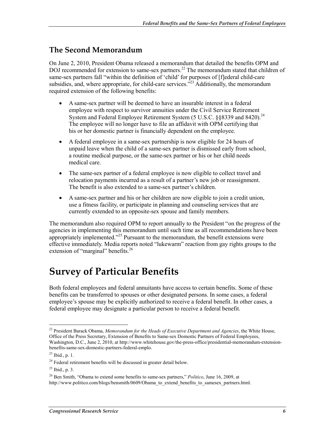#### **The Second Memorandum**

On June 2, 2010, President Obama released a memorandum that detailed the benefits OPM and DOJ recommended for extension to same-sex partners.<sup>22</sup> The memorandum stated that children of same-sex partners fall "within the definition of 'child' for purposes of [f]ederal child-care subsidies, and, where appropriate, for child-care services.<sup> $323$ </sup> Additionally, the memorandum required extension of the following benefits:

- A same-sex partner will be deemed to have an insurable interest in a federal employee with respect to survivor annuities under the Civil Service Retirement System and Federal Employee Retirement System (5 U.S.C. §§8339 and 8420).<sup>24</sup> The employee will no longer have to file an affidavit with OPM certifying that his or her domestic partner is financially dependent on the employee.
- A federal employee in a same-sex partnership is now eligible for 24 hours of unpaid leave when the child of a same-sex partner is dismissed early from school, a routine medical purpose, or the same-sex partner or his or her child needs medical care.
- The same-sex partner of a federal employee is now eligible to collect travel and relocation payments incurred as a result of a partner's new job or reassignment. The benefit is also extended to a same-sex partner's children.
- A same-sex partner and his or her children are now eligible to join a credit union, use a fitness facility, or participate in planning and counseling services that are currently extended to an opposite-sex spouse and family members.

The memorandum also required OPM to report annually to the President "on the progress of the agencies in implementing this memorandum until such time as all recommendations have been appropriately implemented."<sup>25</sup> Pursuant to the memorandum, the benefit extensions were effective immediately. Media reports noted "lukewarm" reaction from gay rights groups to the extension of "marginal" benefits.<sup>26</sup>

# **Survey of Particular Benefits**

Both federal employees and federal annuitants have access to certain benefits. Some of these benefits can be transferred to spouses or other designated persons. In some cases, a federal employee's spouse may be explicitly authorized to receive a federal benefit. In other cases, a federal employee may designate a particular person to receive a federal benefit.

<sup>22</sup> President Barack Obama, *Memorandum for the Heads of Executive Department and Agencies*, the White House, Office of the Press Secretary, Extension of Benefits to Same-sex Domestic Partners of Federal Employees, Washington, D.C., June 2, 2010, at http://www.whitehouse.gov/the-press-office/presidential-memorandum-extensionbenefits-same-sex-domestic-partners-federal-emplo.

<sup>23</sup> Ibid., p. 1.

 $24$  Federal retirement benefits will be discussed in greater detail below.

 $^{25}$  Ibid., p. 3.

<sup>26</sup> Ben Smith, "Obama to extend some benefits to same-sex partners," *Politico*, June 16, 2009, at

http://www.politico.com/blogs/bensmith/0609/Obama\_to\_extend\_benefits\_to\_samesex\_partners.html.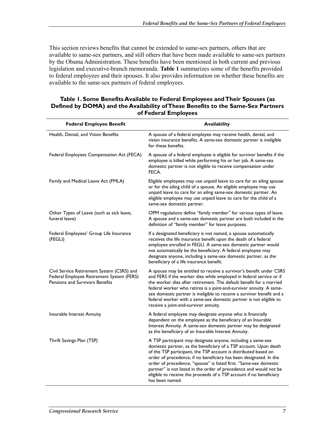This section reviews benefits that cannot be extended to same-sex partners, others that are available to same-sex partners, and still others that have been made available to same-sex partners by the Obama Administration. These benefits have been mentioned in both current and previous legislation and executive-branch memoranda. **Table 1** summarizes some of the benefits provided to federal employees and their spouses. It also provides information on whether these benefits are available to the same-sex partners of federal employees.

#### **Table 1. Some Benefits Available to Federal Employees and Their Spouses (as Defined by DOMA) and the Availability of These Benefits to the Same-Sex Partners of Federal Employees**

| <b>Federal Employee Benefit</b>                                                                                            | <b>Availability</b>                                                                                                                                                                                                                                                                                                                                                                                                                                                                                             |
|----------------------------------------------------------------------------------------------------------------------------|-----------------------------------------------------------------------------------------------------------------------------------------------------------------------------------------------------------------------------------------------------------------------------------------------------------------------------------------------------------------------------------------------------------------------------------------------------------------------------------------------------------------|
| Health, Dental, and Vision Benefits                                                                                        | A spouse of a federal employee may receive health, dental, and<br>vision insurance benefits. A same-sex domestic partner is ineligible<br>for these benefits.                                                                                                                                                                                                                                                                                                                                                   |
| Federal Employees Compensation Act (FECA)                                                                                  | A spouse of a federal employee is eligible for survivor benefits if the<br>employee is killed while performing his or her job. A same-sex<br>domestic partner is not eligible to receive compensation under<br>FECA.                                                                                                                                                                                                                                                                                            |
| Family and Medical Leave Act (FMLA)                                                                                        | Eligible employees may use unpaid leave to care for an ailing spouse<br>or for the ailing child of a spouse. An eligible employee may use<br>unpaid leave to care for an ailing same-sex domestic partner. An<br>eligible employee may use unpaid leave to care for the child of a<br>same-sex domestic partner.                                                                                                                                                                                                |
| Other Types of Leave (such as sick leave,<br>funeral leave)                                                                | OPM regulations define "family member" for various types of leave.<br>A spouse and a same-sex domestic partner are both included in the<br>definition of "family member" for leave purposes.                                                                                                                                                                                                                                                                                                                    |
| Federal Employees' Group Life Insurance<br>(FEGLI)                                                                         | If a designated beneficiary is not named, a spouse automatically<br>receives the life insurance benefit upon the death of a federal<br>employee enrolled in FEGLI. A same-sex domestic partner would<br>not automatically be the beneficiary. A federal employee may<br>designate anyone, including a same-sex domestic partner, as the<br>beneficiary of a life insurance benefit.                                                                                                                             |
| Civil Service Retirement System (CSRS) and<br>Federal Employee Retirement System (FERS)<br>Pensions and Survivors Benefits | A spouse may be entitled to receive a survivor's benefit under CSRS<br>and FERS if the worker dies while employed in federal service or if<br>the worker dies after retirement. The default benefit for a married<br>federal worker who retires is a joint-and-survivor annuity. A same-<br>sex domestic partner is ineligible to receive a survivor benefit and a<br>federal worker with a same-sex domestic partner is not eligible to<br>receive a joint-and-survivor annuity.                               |
| Insurable Interest Annuity                                                                                                 | A federal employee may designate anyone who is financially<br>dependent on the employee as the beneficiary of an Insurable<br>Interest Annuity. A same-sex domestic partner may be designated<br>as the beneficiary of an Insurable Interest Annuity.                                                                                                                                                                                                                                                           |
| Thrift Savings Plan (TSP)                                                                                                  | A TSP participant may designate anyone, including a same-sex<br>domestic partner, as the beneficiary of a TSP account. Upon death<br>of the TSP participant, the TSP account is distributed based on<br>order of precedence, if no beneficiary has been designated. In the<br>order of precedence, "spouse" is listed first. "Same-sex domestic<br>partner" is not listed in the order of precedence and would not be<br>eligible to receive the proceeds of a TSP account if no beneficiary<br>has been named. |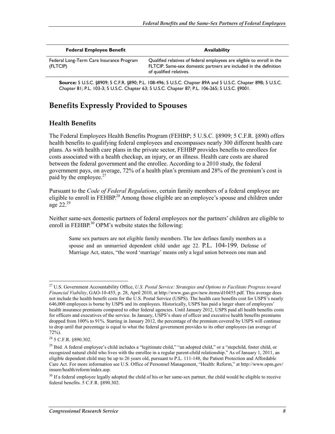| <b>Federal Employee Benefit</b>                      | <b>Availability</b>                                                                                                                                                    |
|------------------------------------------------------|------------------------------------------------------------------------------------------------------------------------------------------------------------------------|
| Federal Long-Term Care Insurance Program<br>(FLTCIP) | Qualified relatives of federal employees are eligible to enroll in the<br>FLTCIP. Same-sex domestic partners are included in the definition<br>of qualified relatives. |

**Source:** 5 U.S.C. §8909; 5 C.F.R. §890; P.L. 108-496; 5 U.S.C. Chapter 89A and 5 U.S.C. Chapter 89B; 5 U.S.C. Chapter 81; P.L. 103-3; 5 U.S.C. Chapter 63; 5 U.S.C. Chapter 87; P.L. 106-265; 5 U.S.C. §9001.

### **Benefits Expressly Provided to Spouses**

#### **Health Benefits**

The Federal Employees Health Benefits Program (FEHBP; 5 U.S.C. §8909; 5 C.F.R. §890) offers health benefits to qualifying federal employees and encompasses nearly 300 different health care plans. As with health care plans in the private sector, FEHBP provides benefits to enrollees for costs associated with a health checkup, an injury, or an illness. Health care costs are shared between the federal government and the enrollee. According to a 2010 study, the federal government pays, on average, 72% of a health plan's premium and 28% of the premium's cost is paid by the employee. $27$ 

Pursuant to the *Code of Federal Regulations*, certain family members of a federal employee are eligible to enroll in FEHBP.<sup>28</sup> Among those eligible are an employee's spouse and children under age  $22.^{29}$ 

Neither same-sex domestic partners of federal employees nor the partners' children are eligible to enroll in FEHBP. $30$  OPM's website states the following:

Same sex partners are not eligible family members. The law defines family members as a spouse and an unmarried dependent child under age 22. P.L. 104-199, Defense of Marriage Act, states, "the word 'marriage' means only a legal union between one man and

<sup>27</sup> U.S. Government Accountability Office, *U.S. Postal Service: Strategies and Options to Facilitate Progress toward Financial Viability*, GAO-10-455, p. 28, April 2010, at http://www.gao.gov/new.items/d10455.pdf. This average does not include the health benefit costs for the U.S. Postal Service (USPS). The health care benefits cost for USPS's nearly 646,000 employees is borne by USPS and its employees. Historically, USPS has paid a larger share of employees' health insurance premiums compared to other federal agencies. Until January 2012, USPS paid all health benefits costs for officers and executives of the service. In January, USPS's share of officer and executive health benefits premiums dropped from 100% to 91%. Starting in January 2012, the percentage of the premium covered by USPS will continue to drop until that percentage is equal to what the federal government provides to its other employees (an average of 72%).

<sup>28 5</sup> C.F.R. §890.302.

<sup>&</sup>lt;sup>29</sup> Ibid. A federal employee's child includes a "legitimate child," "an adopted child," or a "stepchild, foster child, or recognized natural child who lives with the enrollee in a regular parent-child relationship." As of January 1, 2011, an eligible dependent child may be up to 26 years old, pursuant to P.L. 111-148, the Patient Protection and Affordable Care Act. For more information see U.S. Office of Personnel Management, "Health: Reform," at http://www.opm.gov/ insure/health/reform/index.asp.

<sup>&</sup>lt;sup>30</sup> If a federal employee legally adopted the child of his or her same-sex partner, the child would be eligible to receive federal benefits. 5 C.F.R. §890.302.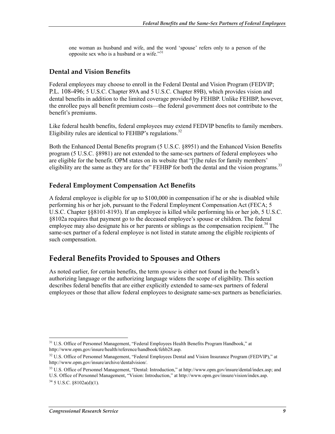one woman as husband and wife, and the word 'spouse' refers only to a person of the opposite sex who is a husband or a wife."<sup>31</sup>

#### **Dental and Vision Benefits**

Federal employees may choose to enroll in the Federal Dental and Vision Program (FEDVIP; P.L. 108-496; 5 U.S.C. Chapter 89A and 5 U.S.C. Chapter 89B), which provides vision and dental benefits in addition to the limited coverage provided by FEHBP. Unlike FEHBP, however, the enrollee pays all benefit premium costs—the federal government does not contribute to the benefit's premiums.

Like federal health benefits, federal employees may extend FEDVIP benefits to family members. Eligibility rules are identical to FEHBP's regulations.<sup>32</sup>

Both the Enhanced Dental Benefits program (5 U.S.C. §8951) and the Enhanced Vision Benefits program (5 U.S.C. §8981) are not extended to the same-sex partners of federal employees who are eligible for the benefit. OPM states on its website that "[t]he rules for family members' eligibility are the same as they are for the" FEHBP for both the dental and the vision programs.<sup>33</sup>

#### **Federal Employment Compensation Act Benefits**

A federal employee is eligible for up to \$100,000 in compensation if he or she is disabled while performing his or her job, pursuant to the Federal Employment Compensation Act (FECA; 5 U.S.C. Chapter §§8101-8193). If an employee is killed while performing his or her job, 5 U.S.C. §8102a requires that payment go to the deceased employee's spouse or children. The federal employee may also designate his or her parents or siblings as the compensation recipient.<sup>34</sup> The same-sex partner of a federal employee is not listed in statute among the eligible recipients of such compensation.

### **Federal Benefits Provided to Spouses and Others**

As noted earlier, for certain benefits, the term *spouse* is either not found in the benefit's authorizing language or the authorizing language widens the scope of eligibility. This section describes federal benefits that are either explicitly extended to same-sex partners of federal employees or those that allow federal employees to designate same-sex partners as beneficiaries.

<sup>&</sup>lt;sup>31</sup> U.S. Office of Personnel Management, "Federal Employees Health Benefits Program Handbook," at http://www.opm.gov/insure/health/reference/handbook/fehb28.asp.

<sup>&</sup>lt;sup>32</sup> U.S. Office of Personnel Management, "Federal Employees Dental and Vision Insurance Program (FEDVIP)," at http://www.opm.gov/insure/archive/dentalvision/.

<sup>&</sup>lt;sup>33</sup> U.S. Office of Personnel Management, "Dental: Introduction," at http://www.opm.gov/insure/dental/index.asp; and

U.S. Office of Personnel Management, "Vision: Introduction," at http://www.opm.gov/insure/vision/index.asp.  $34\,$  5 U.S.C.  $88102a(d)(1)$ .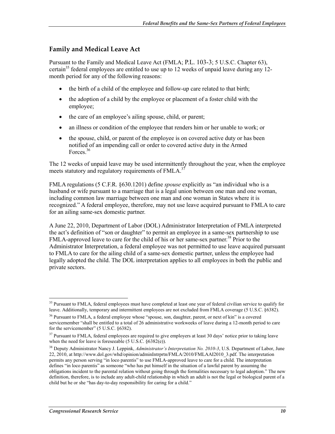#### **Family and Medical Leave Act**

Pursuant to the Family and Medical Leave Act (FMLA; P.L. 103-3; 5 U.S.C. Chapter 63), certain<sup>35</sup> federal employees are entitled to use up to 12 weeks of unpaid leave during any 12month period for any of the following reasons:

- the birth of a child of the employee and follow-up care related to that birth;
- the adoption of a child by the employee or placement of a foster child with the employee;
- the care of an employee's ailing spouse, child, or parent;
- an illness or condition of the employee that renders him or her unable to work; or
- the spouse, child, or parent of the employee is on covered active duty or has been notified of an impending call or order to covered active duty in the Armed Forces.36

The 12 weeks of unpaid leave may be used intermittently throughout the year, when the employee meets statutory and regulatory requirements of FMLA.<sup>37</sup>

FMLA regulations (5 C.F.R. §630.1201) define *spouse* explicitly as "an individual who is a husband or wife pursuant to a marriage that is a legal union between one man and one woman, including common law marriage between one man and one woman in States where it is recognized." A federal employee, therefore, may not use leave acquired pursuant to FMLA to care for an ailing same-sex domestic partner.

A June 22, 2010, Department of Labor (DOL) Administrator Interpretation of FMLA interpreted the act's definition of "son or daughter" to permit an employee in a same-sex partnership to use FMLA-approved leave to care for the child of his or her same-sex partner.<sup>38</sup> Prior to the Administrator Interpretation, a federal employee was not permitted to use leave acquired pursuant to FMLA to care for the ailing child of a same-sex domestic partner, unless the employee had legally adopted the child. The DOL interpretation applies to all employees in both the public and private sectors.

<u>.</u>

<sup>&</sup>lt;sup>35</sup> Pursuant to FMLA, federal employees must have completed at least one year of federal civilian service to qualify for leave. Additionally, temporary and intermittent employees are not excluded from FMLA coverage (5 U.S.C. §6382).

<sup>&</sup>lt;sup>36</sup> Pursuant to FMLA, a federal employee whose "spouse, son, daughter, parent, or next of kin" is a covered servicemember "shall be entitled to a total of 26 administrative workweeks of leave during a 12-month period to care for the servicemember" (5 U.S.C. §6382).

<sup>&</sup>lt;sup>37</sup> Pursuant to FMLA, federal employees are required to give employers at least 30 days' notice prior to taking leave when the need for leave is foreseeable (5 U.S.C. §6382(e)).

<sup>38</sup> Deputy Administrator Nancy J. Leppink, *Administrator's Interpretation No. 2010-3*, U.S. Department of Labor, June 22, 2010, at http://www.dol.gov/whd/opinion/adminIntrprtn/FMLA/2010/FMLAAI2010\_3.pdf. The interpretation permits any person serving "in loco parentis" to use FMLA-approved leave to care for a child. The interpretation defines "in loco parentis" as someone "who has put himself in the situation of a lawful parent by assuming the obligations incident to the parental relation without going through the formalities necessary to legal adoption." The new definition, therefore, is to include any adult-child relationship in which an adult is not the legal or biological parent of a child but he or she "has day-to-day responsibility for caring for a child."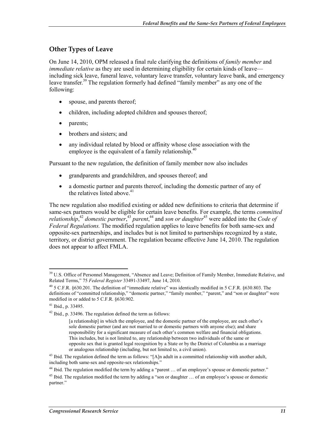#### **Other Types of Leave**

On June 14, 2010, OPM released a final rule clarifying the definitions of *family member* and *immediate relative* as they are used in determining eligibility for certain kinds of leave including sick leave, funeral leave, voluntary leave transfer, voluntary leave bank, and emergency leave transfer.<sup>39</sup> The regulation formerly had defined "family member" as any one of the following:

- spouse, and parents thereof;
- children, including adopted children and spouses thereof;
- parents;
- brothers and sisters; and
- any individual related by blood or affinity whose close association with the employee is the equivalent of a family relationship.<sup>40</sup>

Pursuant to the new regulation, the definition of family member now also includes

- grandparents and grandchildren, and spouses thereof; and
- a domestic partner and parents thereof, including the domestic partner of any of the relatives listed above. $41$

The new regulation also modified existing or added new definitions to criteria that determine if same-sex partners would be eligible for certain leave benefits. For example, the terms *committed*  relationship,<sup>42</sup> domestic partner,<sup>43</sup> parent,<sup>44</sup> and son or daughter<sup>45</sup> were added into the *Code of Federal Regulations.* The modified regulation applies to leave benefits for both same-sex and opposite-sex partnerships, and includes but is not limited to partnerships recognized by a state, territory, or district government. The regulation became effective June 14, 2010. The regulation does not appear to affect FMLA.

<sup>&</sup>lt;sup>39</sup> U.S. Office of Personnel Management, "Absence and Leave; Definition of Family Member, Immediate Relative, and Related Terms," 75 *Federal Register* 33491-33497, June 14, 2010.

 $^{40}$  5 C.F.R. §630.201. The definition of "immediate relative" was identically modified in 5 C.F.R. §630.803. The definitions of "committed relationship," "domestic partner," "family member," "parent," and "son or daughter" were modified in or added to 5 C.F.R. §630.902.

<sup>41</sup> Ibid., p. 33495.

<sup>42</sup> Ibid., p. 33496. The regulation defined the term as follows:

<sup>[</sup>a relationship] in which the employee, and the domestic partner of the employee, are each other's sole domestic partner (and are not married to or domestic partners with anyone else); and share responsibility for a significant measure of each other's common welfare and financial obligations. This includes, but is not limited to, any relationship between two individuals of the same or opposite sex that is granted legal recognition by a State or by the District of Columbia as a marriage or analogous relationship (including, but not limited to, a civil union).

<sup>&</sup>lt;sup>43</sup> Ibid. The regulation defined the term as follows: "[A]n adult in a committed relationship with another adult, including both same-sex and opposite-sex relationships."

<sup>&</sup>lt;sup>44</sup> Ibid. The regulation modified the term by adding a "parent ... of an employee's spouse or domestic partner."

<sup>&</sup>lt;sup>45</sup> Ibid. The regulation modified the term by adding a "son or daughter  $\ldots$  of an employee's spouse or domestic partner."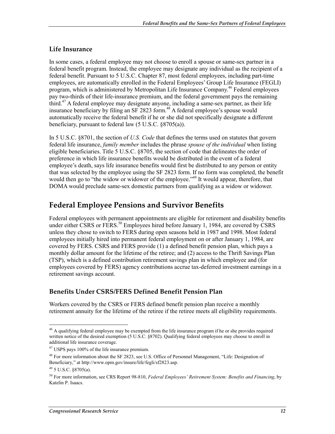#### **Life Insurance**

In some cases, a federal employee may not choose to enroll a spouse or same-sex partner in a federal benefit program. Instead, the employee may designate any individual as the recipient of a federal benefit. Pursuant to 5 U.S.C. Chapter 87, most federal employees, including part-time employees, are automatically enrolled in the Federal Employees' Group Life Insurance (FEGLI) program, which is administered by Metropolitan Life Insurance Company.<sup>46</sup> Federal employees pay two-thirds of their life-insurance premium, and the federal government pays the remaining third.<sup>47</sup> A federal employee may designate anyone, including a same-sex partner, as their life insurance beneficiary by filing an SF 2823 form.<sup>48</sup> A federal employee's spouse would automatically receive the federal benefit if he or she did not specifically designate a different beneficiary, pursuant to federal law (5 U.S.C. §8705(a)).

In 5 U.S.C. §8701, the section of *U.S. Code* that defines the terms used on statutes that govern federal life insurance, *family member* includes the phrase *spouse of the individual* when listing eligible beneficiaries. Title 5 U.S.C. §8705, the section of code that delineates the order of preference in which life insurance benefits would be distributed in the event of a federal employee's death, says life insurance benefits would first be distributed to any person or entity that was selected by the employee using the SF 2823 form. If no form was completed, the benefit would then go to "the widow or widower of the employee."<sup>49</sup> It would appear, therefore, that DOMA would preclude same-sex domestic partners from qualifying as a widow or widower.

### **Federal Employee Pensions and Survivor Benefits**

Federal employees with permanent appointments are eligible for retirement and disability benefits under either CSRS or FERS.<sup>50</sup> Employees hired before January 1, 1984, are covered by CSRS unless they chose to switch to FERS during open seasons held in 1987 and 1998. Most federal employees initially hired into permanent federal employment on or after January 1, 1984, are covered by FERS. CSRS and FERS provide (1) a defined benefit pension plan, which pays a monthly dollar amount for the lifetime of the retiree; and (2) access to the Thrift Savings Plan (TSP), which is a defined contribution retirement savings plan in which employee and (for employees covered by FERS) agency contributions accrue tax-deferred investment earnings in a retirement savings account.

#### **Benefits Under CSRS/FERS Defined Benefit Pension Plan**

Workers covered by the CSRS or FERS defined benefit pension plan receive a monthly retirement annuity for the lifetime of the retiree if the retiree meets all eligibility requirements.

<sup>&</sup>lt;sup>46</sup> A qualifying federal employee may be exempted from the life insurance program if he or she provides required written notice of the desired exemption (5 U.S.C. §8702). Qualifying federal employees may choose to enroll in additional life insurance coverage.

<sup>47</sup> USPS pays 100% of the life insurance premium.

<sup>48</sup> For more information about the SF 2823, see U.S. Office of Personnel Management, "Life: Designation of Beneficiary," at http://www.opm.gov/insure/life/fegli/sf2823.asp.

<sup>49 5</sup> U.S.C. §8705(a).

<sup>50</sup> For more information, see CRS Report 98-810, *Federal Employees' Retirement System: Benefits and Financing*, by Katelin P. Isaacs.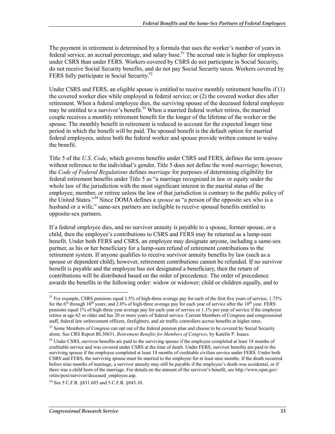The payment in retirement is determined by a formula that uses the worker's number of years in federal service, an accrual percentage, and salary base.<sup>51</sup> The accrual rate is higher for employees under CSRS than under FERS. Workers covered by CSRS do not participate in Social Security, do not receive Social Security benefits, and do not pay Social Security taxes. Workers covered by FERS fully participate in Social Security.<sup>52</sup>

Under CSRS and FERS, an eligible spouse is entitled to receive monthly retirement benefits if (1) the covered worker dies while employed in federal service; or (2) the covered worker dies after retirement. When a federal employee dies, the surviving spouse of the deceased federal employee may be entitled to a survivor's benefit.<sup>53</sup> When a married federal worker retires, the married couple receives a monthly retirement benefit for the longer of the lifetime of the worker or the spouse. The monthly benefit in retirement is reduced to account for the expected longer time period in which the benefit will be paid. The spousal benefit is the default option for married federal employees, unless both the federal worker and spouse provide written consent to waive the benefit.

Title 5 of the *U.S. Code*, which governs benefits under CSRS and FERS, defines the term *spouse* without reference to the individual's gender. Title 5 does not define the word *marriage*; however, the *Code of Federal Regulations* defines *marriage* for purposes of determining eligibility for federal retirement benefits under Title 5 as "a marriage recognized in law or equity under the whole law of the jurisdiction with the most significant interest in the marital status of the employee, member, or retiree unless the law of that jurisdiction is contrary to the public policy of the United States."54 Since DOMA defines a *spouse* as "a person of the opposite sex who is a husband or a wife," same-sex partners are ineligible to receive spousal benefits entitled to opposite-sex partners.

If a federal employee dies, and no survivor annuity is payable to a spouse, former spouse, or a child, then the employee's contributions to CSRS and FERS may be returned as a lump-sum benefit. Under both FERS and CSRS, an employee may designate anyone, including a same-sex partner, as his or her beneficiary for a lump-sum refund of retirement contributions to the retirement system. If anyone qualifies to receive survivor annuity benefits by law (such as a spouse or dependent child), however, retirement contributions cannot be refunded. If no survivor benefit is payable and the employee has not designated a beneficiary, then the return of contributions will be distributed based on the order of precedence. The order of precedence awards the benefits in the following order: widow or widower; child or children equally, and to

<sup>&</sup>lt;sup>51</sup> For example, CSRS pensions equal 1.5% of high-three average pay for each of the first five years of service, 1.75% for the  $6<sup>th</sup>$  through  $10<sup>th</sup>$  years; and 2.0% of high-three average pay for each year of service after the  $10<sup>th</sup>$  year. FERS pensions equal 1% of high-three year average pay for each year of service or 1.1% per year of service if the employee retires at age 62 or older and has 20 or more years of federal service. Current Members of Congress and congressional staff, federal law enforcement officers, firefighters, and air traffic controllers accrue benefits at higher rates.

<sup>&</sup>lt;sup>52</sup> Some Members of Congress can opt out of the federal pension plan and choose to be covered by Social Security alone. See CRS Report RL30631, *Retirement Benefits for Members of Congress*, by Katelin P. Isaacs.

<sup>&</sup>lt;sup>53</sup> Under CSRS, survivor benefits are paid to the surviving spouse if the employee completed at least 18 months of creditable service and was covered under CSRS at the time of death. Under FERS, survivor benefits are paid to the surviving spouse if the employee completed at least 18 months of creditable civilian service under FERS. Under both CSRS and FERS, the surviving spouse must be married to the employee for at least nine months. If the death occurred before nine months of marriage, a survivor annuity may still be payable if the employee's death was accidental, or if there was a child born of the marriage. For details on the amount of the survivor's benefit, see http://www.opm.gov/ retire/post/survivor/deceased\_employee.asp.

<sup>54</sup> See 5 C.F.R. §831.603 and 5 C.F.R. §843.10.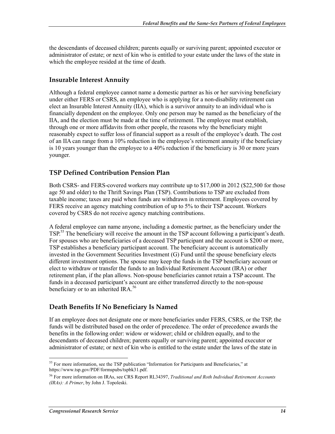the descendants of deceased children; parents equally or surviving parent; appointed executor or administrator of estate; or next of kin who is entitled to your estate under the laws of the state in which the employee resided at the time of death.

#### **Insurable Interest Annuity**

Although a federal employee cannot name a domestic partner as his or her surviving beneficiary under either FERS or CSRS, an employee who is applying for a non-disability retirement can elect an Insurable Interest Annuity (IIA), which is a survivor annuity to an individual who is financially dependent on the employee. Only one person may be named as the beneficiary of the IIA, and the election must be made at the time of retirement. The employee must establish, through one or more affidavits from other people, the reasons why the beneficiary might reasonably expect to suffer loss of financial support as a result of the employee's death. The cost of an IIA can range from a 10% reduction in the employee's retirement annuity if the beneficiary is 10 years younger than the employee to a 40% reduction if the beneficiary is 30 or more years younger.

#### **TSP Defined Contribution Pension Plan**

Both CSRS- and FERS-covered workers may contribute up to \$17,000 in 2012 (\$22,500 for those age 50 and older) to the Thrift Savings Plan (TSP). Contributions to TSP are excluded from taxable income; taxes are paid when funds are withdrawn in retirement. Employees covered by FERS receive an agency matching contribution of up to 5% to their TSP account. Workers covered by CSRS do not receive agency matching contributions.

A federal employee can name anyone, including a domestic partner, as the beneficiary under the TSP.<sup>55</sup> The beneficiary will receive the amount in the TSP account following a participant's death. For spouses who are beneficiaries of a deceased TSP participant and the account is \$200 or more, TSP establishes a beneficiary participant account. The beneficiary account is automatically invested in the Government Securities Investment (G) Fund until the spouse beneficiary elects different investment options. The spouse may keep the funds in the TSP beneficiary account or elect to withdraw or transfer the funds to an Individual Retirement Account (IRA) or other retirement plan, if the plan allows. Non-spouse beneficiaries cannot retain a TSP account. The funds in a deceased participant's account are either transferred directly to the non-spouse beneficiary or to an inherited  $\text{IRA.}^{56}$ 

#### **Death Benefits If No Beneficiary Is Named**

If an employee does not designate one or more beneficiaries under FERS, CSRS, or the TSP, the funds will be distributed based on the order of precedence. The order of precedence awards the benefits in the following order: widow or widower; child or children equally, and to the descendants of deceased children; parents equally or surviving parent; appointed executor or administrator of estate; or next of kin who is entitled to the estate under the laws of the state in

<sup>1</sup> <sup>55</sup> For more information, see the TSP publication "Information for Participants and Beneficiaries," at https://www.tsp.gov/PDF/formspubs/tspbk31.pdf.

<sup>56</sup> For more information on IRAs, see CRS Report RL34397, *Traditional and Roth Individual Retirement Accounts (IRAs): A Primer*, by John J. Topoleski.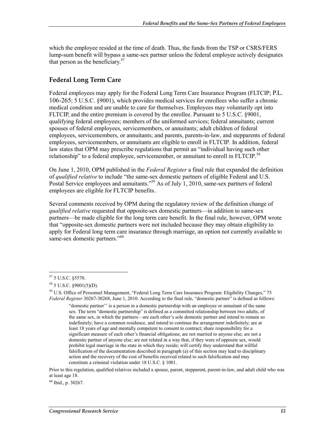which the employee resided at the time of death. Thus, the funds from the TSP or CSRS/FERS lump-sum benefit will bypass a same-sex partner unless the federal employee actively designates that person as the beneficiary. $57$ 

#### **Federal Long Term Care**

Federal employees may apply for the Federal Long Term Care Insurance Program (FLTCIP; P.L. 106-265; 5 U.S.C. §9001), which provides medical services for enrollees who suffer a chronic medical condition and are unable to care for themselves. Employees may voluntarily opt into FLTCIP, and the entire premium is covered by the enrollee. Pursuant to 5 U.S.C. §9001, qualifying federal employees; members of the uniformed services; federal annuitants; current spouses of federal employees, servicemembers, or annuitants; adult children of federal employees, servicemembers, or annuitants; and parents, parents-in-law, and stepparents of federal employees, servicemembers, or annuitants are eligible to enroll in FLTCIP. In addition, federal law states that OPM may prescribe regulations that permit an "individual having such other relationship" to a federal employee, servicemember, or annuitant to enroll in FLTCIP.<sup>58</sup>

On June 1, 2010, OPM published in the *Federal Register* a final rule that expanded the definition of *qualified relative* to include "the same-sex domestic partners of eligible Federal and U.S. Postal Service employees and annuitants."<sup>59</sup> As of July 1, 2010, same-sex partners of federal employees are eligible for FLTCIP benefits.

Several comments received by OPM during the regulatory review of the definition change of *qualified relative* requested that opposite-sex domestic partners—in addition to same-sex partners—be made eligible for the long term care benefit. In the final rule, however, OPM wrote that "opposite-sex domestic partners were not included because they may obtain eligibility to apply for Federal long term care insurance through marriage, an option not currently available to same-sex domestic partners."<sup>60</sup>

Prior to this regulation, qualified relatives included a spouse, parent, stepparent, parent-in-law, and adult child who was at least age 18.

 $^{60}$  Ibid., p. 30267.

<sup>1</sup> 57 5 U.S.C. §5570.

 $58$  5 U.S.C. §9001(5)(D).

<sup>59</sup> U.S. Office of Personnel Management, "Federal Long Term Care Insurance Program: Eligibility Changes," 75 *Federal Register* 30267-30268, June 1, 2010. According to the final rule, "domestic partner" is defined as follows:

<sup>&</sup>quot;domestic partner'' is a person in a domestic partnership with an employee or annuitant of the same sex. The term "domestic partnership" is defined as a committed relationship between two adults, of the same sex, in which the partners—are each other's sole domestic partner and intend to remain so indefinitely; have a common residence, and intend to continue the arrangement indefinitely; are at least 18 years of age and mentally competent to consent to contract; share responsibility for a significant measure of each other's financial obligations; are not married to anyone else; are not a domestic partner of anyone else; are not related in a way that, if they were of opposite sex, would prohibit legal marriage in the state in which they reside; will certify they understand that willful falsification of the documentation described in paragraph (a) of this section may lead to disciplinary action and the recovery of the cost of benefits received related to such falsification and may constitute a criminal violation under 18 U.S.C. § 1001.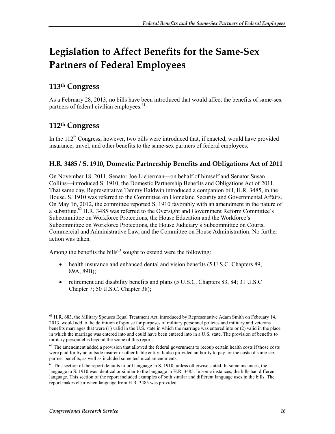# **Legislation to Affect Benefits for the Same-Sex Partners of Federal Employees**

### **113th Congress**

As a February 28, 2013, no bills have been introduced that would affect the benefits of same-sex partners of federal civilian employees.<sup>61</sup>

### **112th Congress**

In the  $112<sup>th</sup>$  Congress, however, two bills were introduced that, if enacted, would have provided insurance, travel, and other benefits to the same-sex partners of federal employees.

#### **H.R. 3485 / S. 1910, Domestic Partnership Benefits and Obligations Act of 2011**

On November 18, 2011, Senator Joe Lieberman—on behalf of himself and Senator Susan Collins—introduced S. 1910, the Domestic Partnership Benefits and Obligations Act of 2011. That same day, Representative Tammy Baldwin introduced a companion bill, H.R. 3485, in the House. S. 1910 was referred to the Committee on Homeland Security and Governmental Affairs. On May 16, 2012, the committee reported S. 1910 favorably with an amendment in the nature of a substitute.<sup>62</sup> H.R. 3485 was referred to the Oversight and Government Reform Committee's Subcommittee on Workforce Protections, the House Education and the Workforce's Subcommittee on Workforce Protections, the House Judiciary's Subcommittee on Courts, Commercial and Administrative Law, and the Committee on House Administration. No further action was taken.

Among the benefits the bills<sup>63</sup> sought to extend were the following:

- health insurance and enhanced dental and vision benefits (5 U.S.C. Chapters 89, 89A, 89B);
- retirement and disability benefits and plans (5 U.S.C. Chapters 83, 84; 31 U.S.C. Chapter 7; 50 U.S.C. Chapter 38);

<sup>1</sup>  $61$  H.R. 683, the Military Spouses Equal Treatment Act, introduced by Representative Adam Smith on February 14, 2013, would add to the definition of spouse for purposes of military personnel policies and military and veterans benefits marriages that were (1) valid in the U.S. state in which the marriage was entered into or (2) valid in the place in which the marriage was entered into and could have been entered into in a U.S. state. The provision of benefits to military personnel is beyond the scope of this report.

 $62$  The amendment added a provision that allowed the federal government to recoup certain health costs if those costs were paid for by an outside insurer or other liable entity. It also provided authority to pay for the costs of same-sex partner benefits, as well as included some technical amendments.

 $63$  This section of the report defaults to bill language in S, 1910, unless otherwise stated. In some instances, the language in S. 1910 was identical or similar to the language in H.R. 3485. In some instances, the bills had different language. This section of the report included examples of both similar and different language uses in the bills. The report makes clear when language from H.R. 3485 was provided.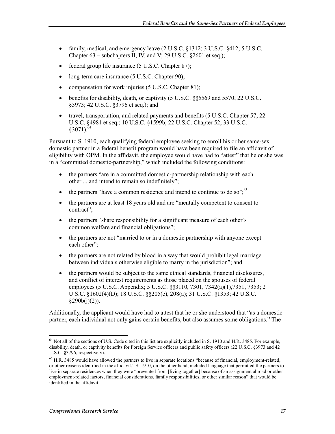- family, medical, and emergency leave (2 U.S.C. §1312; 3 U.S.C. §412; 5 U.S.C. Chapter 63 – subchapters II, IV, and V; 29 U.S.C. §2601 et seq.);
- federal group life insurance (5 U.S.C. Chapter 87);
- long-term care insurance (5 U.S.C. Chapter 90);
- compensation for work injuries (5 U.S.C. Chapter 81);
- benefits for disability, death, or captivity (5 U.S.C. §§5569 and 5570; 22 U.S.C. §3973; 42 U.S.C. §3796 et seq.); and
- travel, transportation, and related payments and benefits (5 U.S.C. Chapter 57; 22 U.S.C. §4981 et seq.; 10 U.S.C. §1599b; 22 U.S.C. Chapter 52; 33 U.S.C.  $$3071$ ).<sup>64</sup>

Pursuant to S. 1910, each qualifying federal employee seeking to enroll his or her same-sex domestic partner in a federal benefit program would have been required to file an affidavit of eligibility with OPM. In the affidavit, the employee would have had to "attest" that he or she was in a "committed domestic-partnership," which included the following conditions:

- the partners "are in a committed domestic-partnership relationship with each other ... and intend to remain so indefinitely";
- the partners "have a common residence and intend to continue to do so".<sup>65</sup>
- the partners are at least 18 years old and are "mentally competent to consent to contract";
- the partners "share responsibility for a significant measure of each other's common welfare and financial obligations";
- the partners are not "married to or in a domestic partnership with anyone except each other":
- the partners are not related by blood in a way that would prohibit legal marriage between individuals otherwise eligible to marry in the jurisdiction"; and
- the partners would be subject to the same ethical standards, financial disclosures, and conflict of interest requirements as those placed on the spouses of federal employees (5 U.S.C. Appendix; 5 U.S.C. §§3110, 7301, 7342(a)(1),7351, 7353; 2 U.S.C. §1602(4)(D); 18 U.S.C. §§205(e), 208(a); 31 U.S.C. §1353; 42 U.S.C.  $§290b(i)(2)$ ).

Additionally, the applicant would have had to attest that he or she understood that "as a domestic partner, each individual not only gains certain benefits, but also assumes some obligations." The

<sup>1</sup> <sup>64</sup> Not all of the sections of U.S. Code cited in this list are explicitly included in S. 1910 and H.R. 3485. For example, disability, death, or captivity benefits for Foreign Service officers and public safety officers (22 U.S.C. §3973 and 42 U.S.C. §3796, respectively).

<sup>&</sup>lt;sup>65</sup> H.R. 3485 would have allowed the partners to live in separate locations "because of financial, employment-related, or other reasons identified in the affidavit." S. 1910, on the other hand, included language that permitted the partners to live in separate residences when they were "prevented from [living together] because of an assignment abroad or other employment-related factors, financial considerations, family responsibilities, or other similar reason" that would be identified in the affidavit.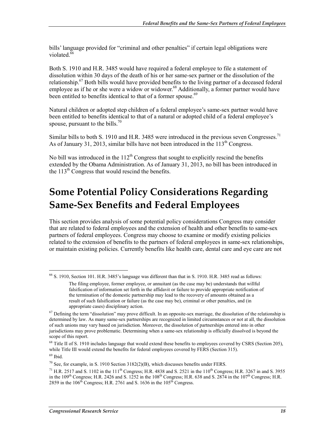bills' language provided for "criminal and other penalties" if certain legal obligations were violated. $66$ 

Both S. 1910 and H.R. 3485 would have required a federal employee to file a statement of dissolution within 30 days of the death of his or her same-sex partner or the dissolution of the relationship.<sup>67</sup> Both bills would have provided benefits to the living partner of a deceased federal employee as if he or she were a widow or widower.<sup>68</sup> Additionally, a former partner would have been entitled to benefits identical to that of a former spouse.<sup>69</sup>

Natural children or adopted step children of a federal employee's same-sex partner would have been entitled to benefits identical to that of a natural or adopted child of a federal employee's spouse, pursuant to the bills.<sup>70</sup>

Similar bills to both S. 1910 and H.R. 3485 were introduced in the previous seven Congresses.<sup>71</sup> As of January 31, 2013, similar bills have not been introduced in the  $113<sup>th</sup>$  Congress.

No bill was introduced in the  $112<sup>th</sup>$  Congress that sought to explicitly rescind the benefits extended by the Obama Administration. As of January 31, 2013, no bill has been introduced in the  $113<sup>th</sup>$  Congress that would rescind the benefits.

# **Some Potential Policy Considerations Regarding Same-Sex Benefits and Federal Employees**

This section provides analysis of some potential policy considerations Congress may consider that are related to federal employees and the extension of health and other benefits to same-sex partners of federal employees. Congress may choose to examine or modify existing policies related to the extension of benefits to the partners of federal employees in same-sex relationships, or maintain existing policies. Currently benefits like health care, dental care and eye care are not

<sup>1</sup> 66 S. 1910, Section 101. H.R. 3485's language was different than that in S. 1910. H.R. 3485 read as follows:

The filing employee, former employee, or annuitant (as the case may be) understands that willful falsification of information set forth in the affidavit or failure to provide appropriate notification of the termination of the domestic partnership may lead to the recovery of amounts obtained as a result of such falsification or failure (as the case may be), criminal or other penalties, and (in appropriate cases) disciplinary action.

 $67$  Defining the term "dissolution" may prove difficult. In an opposite-sex marriage, the dissolution of the relationship is determined by law. As many same-sex partnerships are recognized in limited circumstances or not at all, the dissolution of such unions may vary based on jurisdiction. Moreover, the dissolution of partnerships entered into in other jurisdictions may prove problematic. Determining when a same-sex relationship is officially dissolved is beyond the scope of this report.

<sup>&</sup>lt;sup>68</sup> Title II of S. 1910 includes language that would extend these benefits to employees covered by CSRS (Section 205), while Title III would extend the benefits for federal employees covered by FERS (Section 315).

<sup>69</sup> Ibid.

 $70$  See, for example, in S. 1910 Section 3182(2)(B), which discusses benefits under FERS.

<sup>&</sup>lt;sup>71</sup> H.R. 2517 and S. 1102 in the 111<sup>th</sup> Congress; H.R. 4838 and S. 2521 in the 110<sup>th</sup> Congress; H.R. 3267 in and S. 3955 in the 109<sup>th</sup> Congress; H.R. 2426 and S. 1252 in the 108<sup>th</sup> Congress; H.R. 638 and S. 2874 in the 107<sup>th</sup> Congress; H.R. 2859 in the  $106<sup>th</sup>$  Congress; H.R. 2761 and S. 1636 in the  $105<sup>th</sup>$  Congress.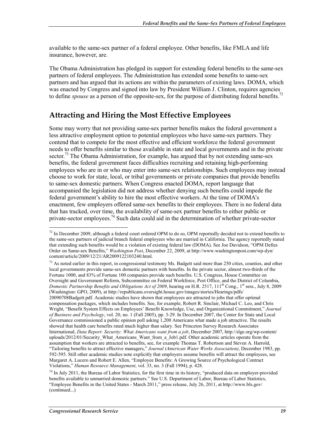available to the same-sex partner of a federal employee. Other benefits, like FMLA and life insurance, however, are.

The Obama Administration has pledged its support for extending federal benefits to the same-sex partners of federal employees. The Administration has extended some benefits to same-sex partners and has argued that its actions are within the parameters of existing laws. DOMA, which was enacted by Congress and signed into law by President William J. Clinton, requires agencies to define *spouse* as a person of the opposite-sex, for the purpose of distributing federal benefits.<sup>72</sup>

### **Attracting and Hiring the Most Effective Employees**

Some may worry that not providing same-sex partner benefits makes the federal government a less attractive employment option to potential employees who have same-sex partners. They contend that to compete for the most effective and efficient workforce the federal government needs to offer benefits similar to those available in state and local governments and in the private sector.<sup>73</sup> The Obama Administration, for example, has argued that by not extending same-sex benefits, the federal government faces difficulties recruiting and retaining high-performing employees who are in or who may enter into same-sex relationships. Such employees may instead choose to work for state, local, or tribal governments or private companies that provide benefits to same-sex domestic partners. When Congress enacted DOMA, report language that accompanied the legislation did not address whether denying such benefits could impede the federal government's ability to hire the most effective workers. At the time of DOMA's enactment, few employers offered same-sex benefits to their employees. There is no federal data that has tracked, over time, the availability of same-sex partner benefits to either public or private-sector employees.<sup>74</sup> Such data could aid in the determination of whether private-sector

 $^{72}$  In December 2009, although a federal court ordered OPM to do so, OPM reportedly decided not to extend benefits to the same-sex partners of judicial branch federal employees who are married in California. The agency reportedly stated that extending such benefits would be a violation of existing federal law (DOMA). See Joe Davidson, "OPM Defies Order on Same-sex Benefits," *Washington Post*, December 22, 2009, at http://www.washingtonpost.com/wp-dyn/ content/article/2009/12/21/AR2009122103240.html.

 $73$  As noted earlier in this report, in congressional testimony Ms. Badgett said more than 250 cities, counties, and other local governments provide same-sex domestic partners with benefits. In the private sector, almost two-thirds of the Fortune 1000, and 83% of Fortune 100 companies provide such benefits. U.S. Congress, House Committee on Oversight and Government Reform, Subcommittee on Federal Workforce, Post Office, and the District of Columbia, *Domestic Partnership Benefits and Obligations Act of 2009*, hearing on H.R. 2517, 111<sup>th</sup> Cong., 1<sup>st</sup> sess., July 8, 2009 (Washington: GPO, 2009), at http://republicans.oversight.house.gov/images/stories/Hearings/pdfs/ 20090708Badgett.pdf. Academic studies have shown that employees are attracted to jobs that offer optimal compensation packages, which includes benefits. See, for example, Robert R. Sinclair, Michael C. Leo, and Chris Wright, "Benefit System Effects on Employees' Benefit Knowledge, Use, and Organizational Commitment," *Journal of Business and Psychology*, vol. 20, no. 1 (Fall 2005), pp. 3-29. In December 2007, the Center for State and Local Governance commissioned a public opinion poll asking 1,200 Americans what made a job attractive. The results showed that health care benefits rated much higher than salary. See Princeton Survey Research Associates International, *Data Report: Security: What Americans want from a job*, December 2007, http://slge.org/wp-content/ uploads/2012/01/Security\_What\_Americans\_Want\_from\_a\_Job1.pdf. Other academic articles operate from the assumption that workers are attracted to benefits, see, for example Thomas T. Robertson and Steven A. Harrold, "Tailoring benefits to attract effective managers," *Journal (American Water Works Association)*, December 1983, pp. 592-595. Still other academic studies note explicitly that employers assume benefits will attract the employees, see Margaret A. Lucero and Robert E. Allen, "Employee Benefits: A Growing Source of Psychological Contract Violations," *Human Resource Management*, vol. 33, no. 3 (Fall 1994), p. 428.

<sup>&</sup>lt;sup>74</sup> In July 2011, the Bureau of Labor Statistics, for the first time in its history, "produced data on employer-provided benefits available to unmarried domestic partners." See U.S. Department of Labor, Bureau of Labor Statistics, "Employee Benefits in the United States - March 2011," press release, July 26, 2011, at http://www.bls.gov/ (continued...)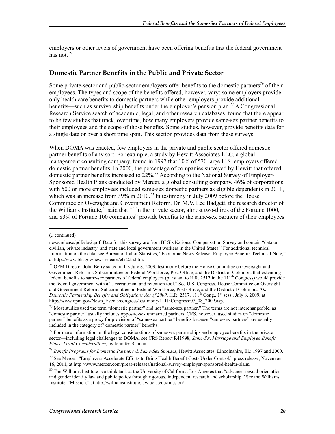employers or other levels of government have been offering benefits that the federal government has not. $75$ 

#### **Domestic Partner Benefits in the Public and Private Sector**

Some private-sector and public-sector employers offer benefits to the domestic partners<sup>76</sup> of their employees. The types and scope of the benefits offered, however, vary: some employers provide only health care benefits to domestic partners while other employers provide additional benefits—such as survivorship benefits under the employer's pension plan.<sup>77</sup> A Congressional Research Service search of academic, legal, and other research databases, found that there appear to be few studies that track, over time, how many employers provide same-sex partner benefits to their employees and the scope of those benefits. Some studies, however, provide benefits data for a single date or over a short time span. This section provides data from these surveys.

When DOMA was enacted, few employers in the private and public sector offered domestic partner benefits of any sort. For example, a study by Hewitt Associates LLC, a global management consulting company, found in 1997 that 10% of 570 large U.S. employers offered domestic partner benefits. In 2000, the percentage of companies surveyed by Hewitt that offered domestic partner benefits increased to 22%.78 According to the National Survey of Employer-Sponsored Health Plans conducted by Mercer, a global consulting company, 46% of corporations with 500 or more employees included same-sex domestic partners as eligible dependents in 2011, which was an increase from  $39\%$  in  $2010$ .<sup>79</sup> In testimony in July 2009 before the House Committee on Oversight and Government Reform, Dr. M.V. Lee Badgett, the research director of the Williams Institute, ${}^{80}$  said that "[i]n the private sector, almost two-thirds of the Fortune 1000, and 83% of Fortune 100 companies" provide benefits to the same-sex partners of their employees

<sup>(...</sup>continued)

news.release/pdf/ebs2.pdf. Data for this survey are from BLS's National Compensation Survey and contain "data on civilian, private industry, and state and local government workers in the United States." For additional technical information on the data, see Bureau of Labor Statistics, "Economic News Release: Employee Benefits Technical Note," at http://www.bls.gov/news.release/ebs2.tn.htm.

<sup>&</sup>lt;sup>75</sup> OPM Director John Berry stated in his July 8, 2009, testimony before the House Committee on Oversight and Government Reform's Subcommittee on Federal Workforce, Post Office, and the District of Columbia that extending federal benefits to same-sex partners of federal employees (pursuant to H.R. 2517 in the 111<sup>th</sup> Congress) would provide the federal government with a "a recruitment and retention tool." See U.S. Congress, House Committee on Oversight and Government Reform, Subcommittee on Federal Workforce, Post Office, and the District of Columbia, *The Domestic Partnership Benefits and Obligations Act of 2009*, H.R. 2517, 111<sup>th</sup> Cong., 1<sup>st</sup> sess., July 8, 2009, at http://www.opm.gov/News\_Events/congress/testimony/111thCongress/07\_08\_2009.asp.

<sup>&</sup>lt;sup>76</sup> Most studies used the term "domestic partner" and not "same-sex partner." The terms are not interchangeable, as "domestic partner" usually includes opposite-sex unmarried partners. CRS, however, used studies on "domestic partner" benefits as a proxy for provision of "same-sex partner" benefits because "same-sex partners" are usually included in the category of "domestic partner" benefits.

 $77$  For more information on the legal considerations of same-sex partnerships and employee benefits in the private sector—including legal challenges to DOMA, see CRS Report R41998, *Same-Sex Marriage and Employee Benefit Plans: Legal Considerations*, by Jennifer Staman.

<sup>78</sup> *Benefit Programs for Domestic Partners & Same-Sex Spouses*, Hewitt Associates. Lincolnshire, Ill.: 1997 and 2000.

 $79$  See Mercer, "Employers Accelerate Efforts to Bring Health Benefit Costs Under Control," press release, November 16, 2011, at http://www.mercer.com/press-releases/national-survey-employer-sponsored-health-plans.

<sup>80</sup> The Williams Institute is a think tank at the University of California-Los Angeles that **"**advances sexual orientation and gender identity law and public policy through rigorous, independent research and scholarship." See the Williams Institute, "Mission," at http://williamsinstitute.law.ucla.edu/mission/.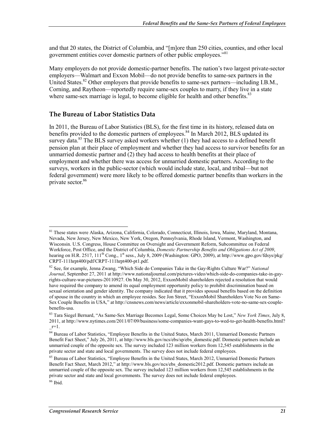and that 20 states, the District of Columbia, and "[m]ore than 250 cities, counties, and other local government entities cover domestic partners of other public employees."<sup>81</sup>

Many employers do not provide domestic-partner benefits. The nation's two largest private-sector employers—Walmart and Exxon Mobil—do not provide benefits to same-sex partners in the United States.<sup>82</sup> Other employers that provide benefits to same-sex partners—including I.B.M., Corning, and Raytheon—reportedly require same-sex couples to marry, if they live in a state where same-sex marriage is legal, to become eligible for health and other benefits.<sup>83</sup>

#### **The Bureau of Labor Statistics Data**

In 2011, the Bureau of Labor Statistics (BLS), for the first time in its history, released data on benefits provided to the domestic partners of employees.<sup>84</sup> In March 2012, BLS updated its survey data.<sup>85</sup> The BLS survey asked workers whether (1) they had access to a defined benefit pension plan at their place of employment and whether they had access to survivor benefits for an unmarried domestic partner and (2) they had access to health benefits at their place of employment and whether there was access for unmarried domestic partners. According to the surveys, workers in the public-sector (which would include state, local, and tribal—but not federal government) were more likely to be offered domestic partner benefits than workers in the private sector.<sup>86</sup>

<sup>81</sup> These states were Alaska, Arizona, California, Colorado, Connecticut, Illinois, Iowa, Maine, Maryland, Montana, Nevada, New Jersey, New Mexico, New York, Oregon, Pennsylvania, Rhode Island, Vermont, Washington, and Wisconsin. U.S. Congress, House Committee on Oversight and Government Reform, Subcommittee on Federal Workforce, Post Office, and the District of Columbia, *Domestic Partnership Benefits and Obligations Act of 2009*, hearing on H.R. 2517,  $111^{th}$  Cong.,  $1^{st}$  sess., July 8, 2009 (Washington: GPO, 2009), at http://www.gpo.gov/fdsys/pkg/ CRPT-111hrpt400/pdf/CRPT-111hrpt400-pt1.pdf.

<sup>82</sup> See, for example, Jenna Zwang, "Which Side do Companies Take in the Gay-Rights Culture War?" *National Journal*, September 27, 2011 at http://www.nationaljournal.com/pictures-video/which-side-do-companies-take-in-gayrights-culture-war-pictures-20110927. On May 30, 2012, ExxonMobil shareholders rejected a resolution that would have required the company to amend its equal employment opportunity policy to prohibit discrimination based on sexual orientation and gender identity. The company indicated that it provides spousal benefits based on the definition of spouse in the country in which an employee resides. See Jon Street, "ExxonMobil Shareholders Vote No on Same-Sex Couple Benefits in USA," at http://cnsnews.com/news/article/exxonmobil-shareholders-vote-no-same-sex-couplebenefits-usa.

<sup>83</sup> Tara Siegel Bernard, "As Same-Sex Marriage Becomes Legal, Some Choices May be Lost," *New York Times*, July 8, 2011, at http://www.nytimes.com/2011/07/09/business/some-companies-want-gays-to-wed-to-get-health-benefits.html?  $r=1.$ 

<sup>84</sup> Bureau of Labor Statistics, "Employee Benefits in the United States, March 2011, Unmarried Domestic Partners Benefit Fact Sheet," July 26, 2011, at http://www.bls.gov/ncs/ebs/sp/ebs\_domestic.pdf. Domestic partners include an unmarried couple of the opposite sex. The survey included 123 million workers from 12,545 establishments in the private sector and state and local governments. The survey does not include federal employees.

<sup>&</sup>lt;sup>85</sup> Bureau of Labor Statistics, "Employee Benefits in the United States, March 2012, Unmarried Domestic Partners Benefit Fact Sheet, March 2012," at http://www.bls.gov/ncs/ebs\_domestic2012.pdf. Domestic partners include an unmarried couple of the opposite sex. The survey included 123 million workers from 12,545 establishments in the private sector and state and local governments. The survey does not include federal employees.

<sup>86</sup> Ibid.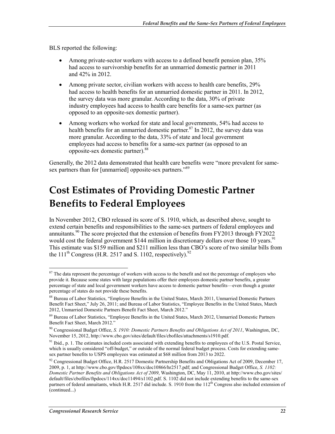BLS reported the following:

- Among private-sector workers with access to a defined benefit pension plan, 35% had access to survivorship benefits for an unmarried domestic partner in 2011 and 42% in 2012.
- Among private sector, civilian workers with access to health care benefits, 29% had access to health benefits for an unmarried domestic partner in 2011. In 2012, the survey data was more granular. According to the data, 30% of private industry employees had access to health care benefits for a same-sex partner (as opposed to an opposite-sex domestic partner).
- Among workers who worked for state and local governments, 54% had access to health benefits for an unmarried domestic partner.<sup>87</sup> In 2012, the survey data was more granular. According to the data, 33% of state and local government employees had access to benefits for a same-sex partner (as opposed to an opposite-sex domestic partner).<sup>88</sup>

Generally, the 2012 data demonstrated that health care benefits were "more prevalent for samesex partners than for [unmarried] opposite-sex partners."<sup>89</sup>

# **Cost Estimates of Providing Domestic Partner Benefits to Federal Employees**

In November 2012, CBO released its score of S. 1910, which, as described above, sought to extend certain benefits and responsibilities to the same-sex partners of federal employees and annuitants.<sup>90</sup> The score projected that the extension of benefits from FY2013 through FY2022 would cost the federal government \$144 million in discretionary dollars over those 10 years.<sup>91</sup> This estimate was \$159 million and \$211 million less than CBO's score of two similar bills from the 111<sup>th</sup> Congress (H.R. 2517 and S. 1102, respectively).<sup>92</sup>

<u>.</u>

<sup>&</sup>lt;sup>87</sup> The data represent the percentage of workers with access to the benefit and not the percentage of employers who provide it. Because some states with large populations offer their employees domestic partner benefits, a greater percentage of state and local government workers have access to domestic partner benefits—even though a greater percentage of states do not provide these benefits.

<sup>88</sup> Bureau of Labor Statistics, "Employee Benefits in the United States, March 2011, Unmarried Domestic Partners Benefit Fact Sheet," July 26, 2011; and Bureau of Labor Statistics, "Employee Benefits in the United States, March 2012, Unmarried Domestic Partners Benefit Fact Sheet, March 2012."

<sup>89</sup> Bureau of Labor Statistics, "Employee Benefits in the United States, March 2012, Unmarried Domestic Partners Benefit Fact Sheet, March 2012."

<sup>90</sup> Congressional Budget Office, *S. 1910: Domestic Partners Benefits and Obligations Act of 2011*, Washington, DC, November 15, 2012, http://www.cbo.gov/sites/default/files/cbofiles/attachments/s1910.pdf.

<sup>&</sup>lt;sup>91</sup> Ibid., p. 1. The estimates included costs associated with extending benefits to employees of the U.S. Postal Service, which is usually considered "off-budget," or outside of the normal federal budget process. Costs for extending samesex partner benefits to USPS employees was estimated at \$68 million from 2013 to 2022.

<sup>&</sup>lt;sup>92</sup> Congressional Budget Office, H.R. 2517 Domestic Partnership Benefits and Obligations Act of 2009, December 17, 2009, p. 1, at http://www.cbo.gov/ftpdocs/108xx/doc10866/hr2517.pdf; and Congressional Budget Office, *S. 1102: Domestic Partner Benefits and Obligations Act of 2009*, Washington, DC, May 11, 2010, at http://www.cbo.gov/sites/ default/files/cbofiles/ftpdocs/114xx/doc11494/s1102.pdf. S. 1102 did not include extending benefits to the same-sex partners of federal annuitants, which H.R. 2517 did include. S. 1910 from the  $112^{th}$  Congress also included extension of (continued...)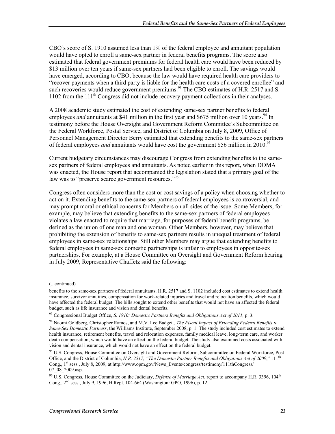CBO's score of S. 1910 assumed less than 1% of the federal employee and annuitant population would have opted to enroll a same-sex partner in federal benefits programs. The score also estimated that federal government premiums for federal health care would have been reduced by \$13 million over ten years if same-sex partners had been eligible to enroll. The savings would have emerged, according to CBO, because the law would have required health care providers to "recover payments when a third party is liable for the health care costs of a covered enrollee" and such recoveries would reduce government premiums.<sup>93</sup> The CBO estimates of H.R. 2517 and S. 1102 from the 111<sup>th</sup> Congress did not include recovery payment collections in their analyses.

A 2008 academic study estimated the cost of extending same-sex partner benefits to federal employees *and* annuitants at \$41 million in the first year and \$675 million over 10 years.<sup>94</sup> In testimony before the House Oversight and Government Reform Committee's Subcommittee on the Federal Workforce, Postal Service, and District of Columbia on July 8, 2009, Office of Personnel Management Director Berry estimated that extending benefits to the same-sex partners of federal employees *and* annuitants would have cost the government \$56 million in 2010.<sup>95</sup>

Current budgetary circumstances may discourage Congress from extending benefits to the samesex partners of federal employees and annuitants. As noted earlier in this report, when DOMA was enacted, the House report that accompanied the legislation stated that a primary goal of the law was to "preserve scarce government resources."<sup>96</sup>

Congress often considers more than the cost or cost savings of a policy when choosing whether to act on it. Extending benefits to the same-sex partners of federal employees is controversial, and may prompt moral or ethical concerns for Members on all sides of the issue. Some Members, for example, may believe that extending benefits to the same-sex partners of federal employees violates a law enacted to require that marriage, for purposes of federal benefit programs, be defined as the union of one man and one woman. Other Members, however, may believe that prohibiting the extension of benefits to same-sex partners results in unequal treatment of federal employees in same-sex relationships. Still other Members may argue that extending benefits to federal employees in same-sex domestic partnerships is unfair to employees in opposite-sex partnerships. For example, at a House Committee on Oversight and Government Reform hearing in July 2009, Representative Chaffetz said the following:

 $\overline{a}$ 

<sup>(...</sup>continued)

benefits to the same-sex partners of federal annuitants. H.R. 2517 and S. 1102 included cost estimates to extend health insurance, survivor annuities, compensation for work-related injuries and travel and relocation benefits, which would have affected the federal budget. The bills sought to extend other benefits that would not have an affected the federal budget, such as life insurance and vision and dental benefits.

<sup>&</sup>lt;sup>93</sup> Congressional Budget Office, *S. 1910: Domestic Partners Benefits and Obligations Act of 2011*, p. 3.

<sup>94</sup> Naomi Goldberg, Christopher Ramos, and M.V. Lee Badgett, *The Fiscal Impact of Extending Federal Benefits to Same-Sex Domestic Partners*, the Williams Institute, September 2008, p. 1. The study included cost estimates to extend health insurance, retirement benefits, travel and relocation expenses, family medical leave, long-term care, and worker death compensation, which would have an effect on the federal budget. The study also examined costs associated with vision and dental insurance, which would not have an effect on the federal budget.

<sup>&</sup>lt;sup>95</sup> U.S. Congress, House Committee on Oversight and Government Reform, Subcommittee on Federal Workforce, Post Office, and the District of Columbia, *H.R. 2517, "The Domestic Partner Benefits and Obligations Act of 2009*," 111<sup>th</sup> Cong., 1<sup>st</sup> sess., July 8, 2009, at http://www.opm.gov/News\_Events/congress/testimony/111thCongress/ 07\_08\_2009.asp.

<sup>&</sup>lt;sup>96</sup> U.S. Congress, House Committee on the Judiciary, *Defense of Marriage Act*, report to accompany H.R. 3396, 104<sup>th</sup> Cong., 2nd sess., July 9, 1996, H.Rept. 104-664 (Washington: GPO, 1996), p. 12.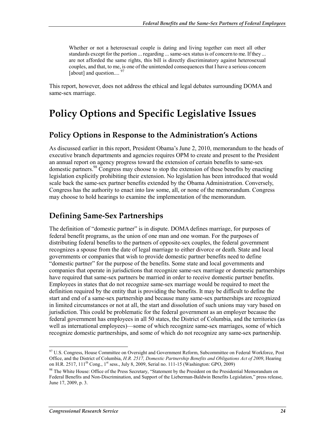Whether or not a heterosexual couple is dating and living together can meet all other standards except for the portion ... regarding ... same-sex status is of concern to me. If they ... are not afforded the same rights, this bill is directly discriminatory against heterosexual couples, and that, to me, is one of the unintended consequences that I have a serious concern [about] and question....<sup>97</sup>

This report, however, does not address the ethical and legal debates surrounding DOMA and same-sex marriage.

# **Policy Options and Specific Legislative Issues**

### **Policy Options in Response to the Administration's Actions**

As discussed earlier in this report, President Obama's June 2, 2010, memorandum to the heads of executive branch departments and agencies requires OPM to create and present to the President an annual report on agency progress toward the extension of certain benefits to same-sex domestic partners.  $98$  Congress may choose to stop the extension of these benefits by enacting legislation explicitly prohibiting their extension. No legislation has been introduced that would scale back the same-sex partner benefits extended by the Obama Administration. Conversely, Congress has the authority to enact into law some, all, or none of the memorandum. Congress may choose to hold hearings to examine the implementation of the memorandum.

### **Defining Same-Sex Partnerships**

The definition of "domestic partner" is in dispute. DOMA defines marriage, for purposes of federal benefit programs, as the union of one man and one woman. For the purposes of distributing federal benefits to the partners of opposite-sex couples, the federal government recognizes a spouse from the date of legal marriage to either divorce or death. State and local governments or companies that wish to provide domestic partner benefits need to define "domestic partner" for the purpose of the benefits. Some state and local governments and companies that operate in jurisdictions that recognize same-sex marriage or domestic partnerships have required that same-sex partners be married in order to receive domestic partner benefits. Employees in states that do not recognize same-sex marriage would be required to meet the definition required by the entity that is providing the benefits. It may be difficult to define the start and end of a same-sex partnership and because many same-sex partnerships are recognized in limited circumstances or not at all, the start and dissolution of such unions may vary based on jurisdiction. This could be problematic for the federal government as an employer because the federal government has employees in all 50 states, the District of Columbia, and the territories (as well as international employees)—some of which recognize same-sex marriages, some of which recognize domestic partnerships, and some of which do not recognize any same-sex partnership.

<sup>&</sup>lt;sup>97</sup> U.S. Congress, House Committee on Oversight and Government Reform, Subcommittee on Federal Workforce, Post Office, and the District of Columbia, *H.R. 2517, Domestic Partnership Benefits and Obligations Act of 2009*, Hearing on H.R. 2517, 111<sup>th</sup> Cong., 1<sup>st</sup> sess., July 8, 2009, Serial no. 111-15 (Washington: GPO, 2009)

<sup>&</sup>lt;sup>98</sup> The White House: Office of the Press Secretary, "Statement by the President on the Presidential Memorandum on Federal Benefits and Non-Discrimination, and Support of the Lieberman-Baldwin Benefits Legislation," press release, June 17, 2009, p. 3.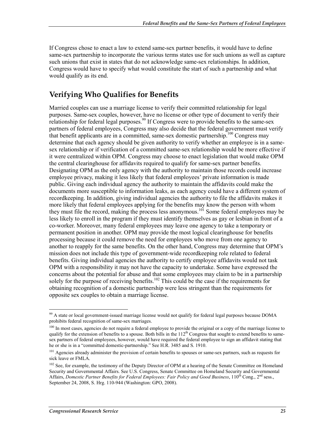If Congress chose to enact a law to extend same-sex partner benefits, it would have to define same-sex partnership to incorporate the various terms states use for such unions as well as capture such unions that exist in states that do not acknowledge same-sex relationships. In addition, Congress would have to specify what would constitute the start of such a partnership and what would qualify as its end.

### **Verifying Who Qualifies for Benefits**

Married couples can use a marriage license to verify their committed relationship for legal purposes. Same-sex couples, however, have no license or other type of document to verify their relationship for federal legal purposes.<sup>99</sup> If Congress were to provide benefits to the same-sex partners of federal employees, Congress may also decide that the federal government must verify that benefit applicants are in a committed, same-sex domestic partnership.<sup>100</sup> Congress may determine that each agency should be given authority to verify whether an employee is in a samesex relationship or if verification of a committed same-sex relationship would be more effective if it were centralized within OPM. Congress may choose to enact legislation that would make OPM the central clearinghouse for affidavits required to qualify for same-sex partner benefits. Designating OPM as the only agency with the authority to maintain those records could increase employee privacy, making it less likely that federal employees' private information is made public. Giving each individual agency the authority to maintain the affidavits could make the documents more susceptible to information leaks, as each agency could have a different system of recordkeeping. In addition, giving individual agencies the authority to file the affidavits makes it more likely that federal employees applying for the benefits may know the person with whom they must file the record, making the process less anonymous.101 Some federal employees may be less likely to enroll in the program if they must identify themselves as gay or lesbian in front of a co-worker. Moreover, many federal employees may leave one agency to take a temporary or permanent position in another. OPM may provide the most logical clearinghouse for benefits processing because it could remove the need for employees who move from one agency to another to reapply for the same benefits. On the other hand, Congress may determine that OPM's mission does not include this type of government-wide recordkeeping role related to federal benefits. Giving individual agencies the authority to certify employee affidavits would not task OPM with a responsibility it may not have the capacity to undertake. Some have expressed the concerns about the potential for abuse and that some employees may claim to be in a partnership solely for the purpose of receiving benefits.<sup>102</sup> This could be the case if the requirements for obtaining recognition of a domestic partnership were less stringent than the requirements for opposite sex couples to obtain a marriage license.

<sup>&</sup>lt;sup>99</sup> A state or local government-issued marriage license would not qualify for federal legal purposes because DOMA prohibits federal recognition of same-sex marriages.

<sup>&</sup>lt;sup>100</sup> In most cases, agencies do not require a federal employee to provide the original or a copy of the marriage license to qualify for the extension of benefits to a spouse. Both bills in the  $112<sup>th</sup>$  Congress that sought to extend benefits to samesex partners of federal employees, however, would have required the federal employee to sign an affidavit stating that he or she is in a "committed domestic-partnership." See H.R. 3485 and S. 1910.

<sup>&</sup>lt;sup>101</sup> Agencies already administer the provision of certain benefits to spouses or same-sex partners, such as requests for sick leave or FMLA.

<sup>&</sup>lt;sup>102</sup> See, for example, the testimony of the Deputy Director of OPM at a hearing of the Senate Committee on Homeland Security and Governmental Affairs. See U.S. Congress, Senate Committee on Homeland Security and Governmental Affairs, *Domestic Partner Benefits for Federal Employees: Fair Policy and Good Business*, 110<sup>th</sup> Cong., 2<sup>nd</sup> sess., September 24, 2008, S. Hrg. 110-944 (Washington: GPO, 2008).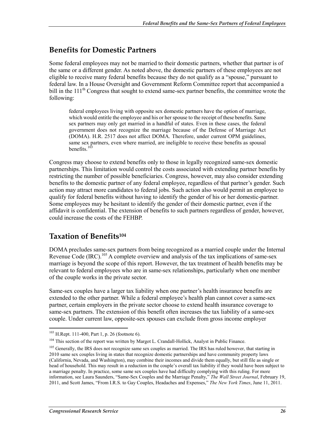### **Benefits for Domestic Partners**

Some federal employees may not be married to their domestic partners, whether that partner is of the same or a different gender. As noted above, the domestic partners of these employees are not eligible to receive many federal benefits because they do not qualify as a "spouse," pursuant to federal law. In a House Oversight and Government Reform Committee report that accompanied a bill in the  $111<sup>th</sup>$  Congress that sought to extend same-sex partner benefits, the committee wrote the following:

federal employees living with opposite sex domestic partners have the option of marriage, which would entitle the employee and his or her spouse to the receipt of these benefits. Same sex partners may only get married in a handful of states. Even in these cases, the federal government does not recognize the marriage because of the Defense of Marriage Act (DOMA). H.R. 2517 does not affect DOMA. Therefore, under current OPM guidelines, same sex partners, even where married, are ineligible to receive these benefits as spousal benefits. $10<sup>3</sup>$ 

Congress may choose to extend benefits only to those in legally recognized same-sex domestic partnerships. This limitation would control the costs associated with extending partner benefits by restricting the number of possible beneficiaries. Congress, however, may also consider extending benefits to the domestic partner of any federal employee, regardless of that partner's gender. Such action may attract more candidates to federal jobs. Such action also would permit an employee to qualify for federal benefits without having to identify the gender of his or her domestic-partner. Some employees may be hesitant to identify the gender of their domestic partner, even if the affidavit is confidential. The extension of benefits to such partners regardless of gender, however, could increase the costs of the FEHBP.

### **Taxation of Benefits104**

DOMA precludes same-sex partners from being recognized as a married couple under the Internal Revenue Code (IRC).<sup>105</sup> A complete overview and analysis of the tax implications of same-sex marriage is beyond the scope of this report. However, the tax treatment of health benefits may be relevant to federal employees who are in same-sex relationships, particularly when one member of the couple works in the private sector.

Same-sex couples have a larger tax liability when one partner's health insurance benefits are extended to the other partner. While a federal employee's health plan cannot cover a same-sex partner, certain employers in the private sector choose to extend health insurance coverage to same-sex partners. The extension of this benefit often increases the tax liability of a same-sex couple. Under current law, opposite-sex spouses can exclude from gross income employer

 $103$  H.Rept. 111-400, Part 1, p. 26 (footnote 6).

<sup>&</sup>lt;sup>104</sup> This section of the report was written by Margot L. Crandall-Hollick, Analyst in Public Finance.

<sup>&</sup>lt;sup>105</sup> Generally, the IRS does not recognize same sex couples as married. The IRS has ruled however, that starting in 2010 same sex couples living in states that recognize domestic partnerships and have community property laws (California, Nevada, and Washington), may combine their incomes and divide them equally, but still file as single or head of household. This may result in a reduction in the couple's overall tax liability if they would have been subject to a marriage penalty. In practice, some same sex couples have had difficulty complying with this ruling. For more information, see Laura Saunders, "Same-Sex Couples and the Marriage Penalty," *The Wall Street Journal*, February 19, 2011, and Scott James, "From I.R.S. to Gay Couples, Headaches and Expenses," *The New York Times*, June 11, 2011.